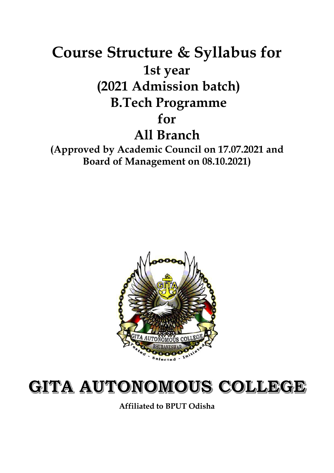# **Course Structure & Syllabus for 1st year (2021 Admission batch) B.Tech Programme for All Branch**

**(Approved by Academic Council on 17.07.2021 and Board of Management on 08.10.2021)**



# GITA AUTONOMOUS COLLEGE

**Affiliated to BPUT Odisha**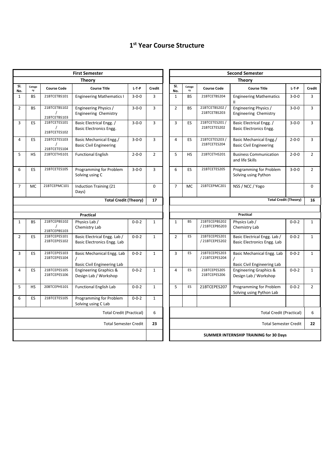# **1st Year Course Structure**

|                |              |                              | <b>First Semester</b>                                                        |             |                |                |              |                                 | <b>Second Semester</b>                                           |
|----------------|--------------|------------------------------|------------------------------------------------------------------------------|-------------|----------------|----------------|--------------|---------------------------------|------------------------------------------------------------------|
|                |              |                              | <b>Theory</b>                                                                |             |                |                |              |                                 | <b>Theory</b>                                                    |
| SI.<br>No.     | Catego<br>ry | <b>Course Code</b>           | <b>Course Title</b>                                                          | $L-T-P$     | <b>Credit</b>  | SI.<br>No.     | Catego<br>ry | <b>Course Code</b>              | <b>Course Title</b>                                              |
| $\mathbf{1}$   | <b>BS</b>    | 21BTCETBS101                 | <b>Engineering Mathematics I</b>                                             | $3 - 0 - 0$ | 3              | $\mathbf{1}$   | <b>BS</b>    | 21BTCETBS204                    | <b>Engineering Mathematics</b>                                   |
| $\overline{2}$ | <b>BS</b>    | 21BTCETBS102<br>21BTCETBS103 | Engineering Physics /<br><b>Engineering Chemistry</b>                        | $3 - 0 - 0$ | 3              | $\overline{2}$ | <b>BS</b>    | 21BTCETBS202 /<br>21BTCETBS203  | Engineering Physics /<br><b>Engineering Chemistry</b>            |
| 3              | <b>ES</b>    | 21BTCETES101<br>21BTCETES102 | Basic Electrical Engg. /<br><b>Basic Electronics Engg.</b>                   | $3 - 0 - 0$ | 3              | 3              | <b>ES</b>    | 21BTCETES201 /<br>21BTCETES202  | Basic Electrical Engg. /<br><b>Basic Electronics Engg.</b>       |
| 4              | <b>ES</b>    | 21BTCETES103<br>21BTCETES104 | Basic Mechanical Engg./<br><b>Basic Civil Engineering</b>                    | $3 - 0 - 0$ | 3              | $\overline{4}$ | <b>ES</b>    | 21BTCETES203/<br>21BTCETES204   | Basic Mechanical Engg./<br><b>Basic Civil Engineering</b>        |
| 5              | <b>HS</b>    | 21BTCETHS101                 | <b>Functional English</b>                                                    | $2 - 0 - 0$ | $\overline{2}$ | 5              | <b>HS</b>    | 21BTCETHS201                    | <b>Business Communication</b><br>and life Skills                 |
| 6              | <b>ES</b>    | 21BTCETES105                 | Programming for Problem<br>Solving using C                                   | $3 - 0 - 0$ | 3              | 6              | ES           | 21BTCETES205                    | Programming for Problem<br>Solving using Python                  |
| $\overline{7}$ | MC           | 21BTCEPMC101                 | Induction Training (21<br>Days)                                              |             | 0              | $\overline{7}$ | MC           | 21BTCEPMC201                    | NSS / NCC / Yogo                                                 |
|                |              |                              | <b>Total Credit (Theory)</b>                                                 |             | 17             |                |              |                                 | <b>Total Cro</b>                                                 |
|                |              |                              |                                                                              |             |                |                |              |                                 |                                                                  |
|                |              |                              | Practical                                                                    |             |                |                |              |                                 | Practical                                                        |
| $\mathbf{1}$   | <b>BS</b>    | 21BTCEPBS102<br>21BTCEPBS103 | Physics Lab /<br>Chemistry Lab                                               | $0 - 0 - 2$ | $\mathbf{1}$   | $\mathbf{1}$   | <b>BS</b>    | 21BTECEPBS202<br>/ 21BTCEPBS203 | Physics Lab /<br>Chemistry Lab                                   |
| $\overline{2}$ | ES           | 21BTCEPES101<br>21BTCEPES102 | Basic Electrical Engg. Lab /<br>Basic Electronics Engg. Lab                  | $0 - 0 - 2$ | $\mathbf{1}$   | $\overline{2}$ | <b>ES</b>    | 21BTECEPES201<br>/ 21BTCEPES202 | Basic Electrical Engg. Lab /<br>Basic Electronics Engg. Lab      |
| 3              | <b>ES</b>    | 21BTCEPES103<br>21BTCEPES104 | Basic Mechanical Engg. Lab<br>$\prime$<br><b>Basic Civil Engineering Lab</b> | $0 - 0 - 2$ | $\mathbf{1}$   | 3              | ES           | 21BTECEPES203<br>/ 21BTCEPES204 | Basic Mechanical Engg. Lal<br><b>Basic Civil Engineering Lab</b> |
| $\overline{4}$ | <b>ES</b>    | 21BTCEPES105<br>21BTCEPES106 | Engineering Graphics &<br>Design Lab / Workshop                              | $0 - 0 - 2$ | $\mathbf{1}$   | $\overline{4}$ | ES           | 21BTCEPES205<br>21BTCEPES206    | <b>Engineering Graphics &amp;</b><br>Design Lab / Workshop       |
| 5              | <b>HS</b>    | 20BTCEPHS101                 | <b>Functional English Lab</b>                                                | $0 - 0 - 2$ | $\mathbf{1}$   | 5              | ES           | 21BTCEPES207                    | Programming for Problem<br>Solving using Python Lab              |
| 6              | ES           | 21BTCETES105                 | Programming for Problem<br>Solving using C Lab                               | $0 - 0 - 2$ | $\mathbf{1}$   |                |              |                                 |                                                                  |
|                |              |                              | <b>Total Credit (Practical)</b>                                              |             | 6              |                |              |                                 | <b>Total Credi</b>                                               |
|                |              |                              | <b>Total Semester Credit</b>                                                 |             | 23             |                |              |                                 | Total Seme                                                       |
|                |              |                              |                                                                              |             |                |                |              |                                 | SUMMER INTERNSHIP TRAINING for 30 Da                             |
|                |              |                              |                                                                              |             |                |                |              |                                 |                                                                  |

| <b>First Semester</b>                                       |             |                |                                        |                                 | <b>Second Semester</b>          |                                                                       |             |                |
|-------------------------------------------------------------|-------------|----------------|----------------------------------------|---------------------------------|---------------------------------|-----------------------------------------------------------------------|-------------|----------------|
| <b>Theory</b>                                               |             |                |                                        |                                 |                                 | <b>Theory</b>                                                         |             |                |
| <b>Course Title</b>                                         | $L-T-P$     | Credit         | SI.<br>No.                             | Catego<br>ry                    | <b>Course Code</b>              | <b>Course Title</b>                                                   | $L-T-P$     | <b>Credit</b>  |
| <b>Engineering Mathematics I</b>                            | $3 - 0 - 0$ | 3              | $\mathbf{1}$                           | <b>BS</b>                       | 21BTCETBS204                    | <b>Engineering Mathematics</b>                                        | $3 - 0 - 0$ | 3              |
| Engineering Physics /<br><b>Engineering Chemistry</b>       | $3 - 0 - 0$ | 3              | $\overline{2}$                         | <b>BS</b>                       | 21BTCETBS202 /<br>21BTCETBS203  | Engineering Physics /<br><b>Engineering Chemistry</b>                 | $3 - 0 - 0$ | 3              |
| Basic Electrical Engg. /<br>Basic Electronics Engg.         | $3 - 0 - 0$ | 3              | 3                                      | <b>ES</b>                       | 21BTCETES201 /<br>21BTCETES202  | Basic Electrical Engg. /<br><b>Basic Electronics Engg.</b>            | $3 - 0 - 0$ | 3              |
| Basic Mechanical Engg./<br><b>Basic Civil Engineering</b>   | $3 - 0 - 0$ | 3              | 4                                      | <b>ES</b>                       | 21BTCETES203 /<br>21BTCETES204  | Basic Mechanical Engg./<br><b>Basic Civil Engineering</b>             | $2 - 0 - 0$ | 3              |
| <b>Functional English</b>                                   | $2 - 0 - 0$ | $\overline{2}$ | 5                                      | HS                              | 21BTCETHS201                    | <b>Business Communication</b><br>and life Skills                      | $2 - 0 - 0$ | $\overline{2}$ |
| Programming for Problem<br>Solving using C                  | $3 - 0 - 0$ | 3              | 6                                      | <b>ES</b>                       | 21BTCETES205                    | Programming for Problem<br>Solving using Python                       | $3 - 0 - 0$ | $\overline{2}$ |
| Induction Training (21<br>Days)                             |             | $\mathbf 0$    | $\overline{7}$                         | <b>MC</b>                       | 21BTCEPMC201                    | NSS / NCC / Yogo                                                      |             | 0              |
| <b>Total Credit (Theory)</b>                                |             | 17             |                                        |                                 |                                 | <b>Total Credit (Theory)</b>                                          |             | 16             |
|                                                             |             |                |                                        |                                 |                                 |                                                                       |             |                |
| <b>Practical</b>                                            |             |                |                                        |                                 |                                 | Practical                                                             |             |                |
| Physics Lab /<br>Chemistry Lab                              | $0 - 0 - 2$ | $\mathbf 1$    | $\mathbf{1}$                           | <b>BS</b>                       | 21BTECEPBS202<br>/ 21BTCEPBS203 | Physics Lab /<br>Chemistry Lab                                        | $0 - 0 - 2$ | $\mathbf{1}$   |
| Basic Electrical Engg. Lab /<br>Basic Electronics Engg. Lab | $0 - 0 - 2$ | $\mathbf{1}$   | $\overline{2}$                         | ES                              | 21BTECEPES201<br>/ 21BTCEPES202 | Basic Electrical Engg. Lab /<br>Basic Electronics Engg. Lab           | $0 - 0 - 2$ | $\mathbf{1}$   |
| Basic Mechanical Engg. Lab<br>Basic Civil Engineering Lab   | $0 - 0 - 2$ | $\mathbf{1}$   | $\overline{3}$                         | ES                              | 21BTECEPES203<br>/ 21BTCEPES204 | Basic Mechanical Engg. Lab<br>$\prime$<br>Basic Civil Engineering Lab | $0 - 0 - 2$ | $\mathbf{1}$   |
| <b>Engineering Graphics &amp;</b><br>Design Lab / Workshop  | $0 - 0 - 2$ | $\mathbf{1}$   | $\overline{a}$                         | <b>ES</b>                       | 21BTCEPES205<br>21BTCEPES206    | <b>Engineering Graphics &amp;</b><br>Design Lab / Workshop            | $0 - 0 - 2$ | $\mathbf{1}$   |
| <b>Functional English Lab</b>                               | $0 - 0 - 2$ | $\mathbf 1$    | 5                                      | ES                              | 21BTCEPES207                    | Programming for Problem<br>Solving using Python Lab                   | $0 - 0 - 2$ | $\overline{2}$ |
| Programming for Problem<br>Solving using C Lab              | $0 - 0 - 2$ | $\mathbf{1}$   |                                        |                                 |                                 |                                                                       |             |                |
| <b>Total Credit (Practical)</b>                             |             | 6              |                                        | <b>Total Credit (Practical)</b> |                                 |                                                                       |             |                |
| <b>Total Semester Credit</b>                                |             | 23             |                                        | <b>Total Semester Credit</b>    |                                 |                                                                       |             |                |
|                                                             |             |                | SUMMER INTERNSHIP TRAINING for 30 Days |                                 |                                 |                                                                       |             |                |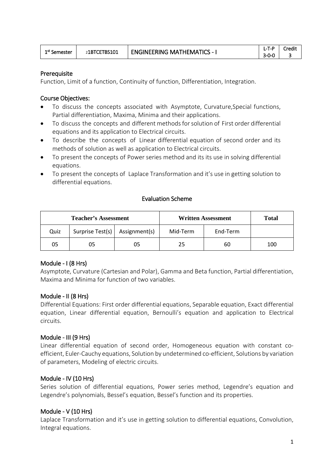| 1 <sup>st</sup> Semester | 21BTCETBS101 | <b>ENGINEERING MATHEMATICS - I</b> | $I - T - P$ | ∵redit |
|--------------------------|--------------|------------------------------------|-------------|--------|
|                          |              |                                    | $3-0-0$     |        |

#### **Prerequisite**

Function, Limit of a function, Continuity of function, Differentiation, Integration.

#### Course Objectives:

- To discuss the concepts associated with Asymptote, Curvature,Special functions, Partial differentiation, Maxima, Minima and their applications.
- To discuss the concepts and different methods for solution of First order differential equations and its application to Electrical circuits.
- To describe the concepts of Linear differential equation of second order and its methods of solution as well as application to Electrical circuits.
- To present the concepts of Power series method and its its use in solving differential equations.
- To present the concepts of Laplace Transformation and it's use in getting solution to differential equations.

#### Evaluation Scheme

| <b>Teacher's Assessment</b> |                                  |    |          | <b>Written Assessment</b> | <b>Total</b> |
|-----------------------------|----------------------------------|----|----------|---------------------------|--------------|
| Quiz                        | Surprise Test(s)   Assignment(s) |    | Mid-Term | End-Term                  |              |
| 05                          | 05                               | 05 | 25       | 60                        | 100          |

#### Module - I (8 Hrs)

Asymptote, Curvature (Cartesian and Polar), Gamma and Beta function, Partial differentiation, Maxima and Minima for function of two variables.

#### Module - II (8 Hrs)

Differential Equations: First order differential equations, Separable equation, Exact differential equation, Linear differential equation, Bernoulli's equation and application to Electrical circuits.

#### Module - III (9 Hrs)

Linear differential equation of second order, Homogeneous equation with constant coefficient, Euler-Cauchy equations, Solution by undetermined co-efficient, Solutions by variation of parameters, Modeling of electric circuits.

#### Module - IV (10 Hrs)

Series solution of differential equations, Power series method, Legendre's equation and Legendre's polynomials, Bessel's equation, Bessel's function and its properties.

# Module - V (10 Hrs)

Laplace Transformation and it's use in getting solution to differential equations, Convolution, Integral equations.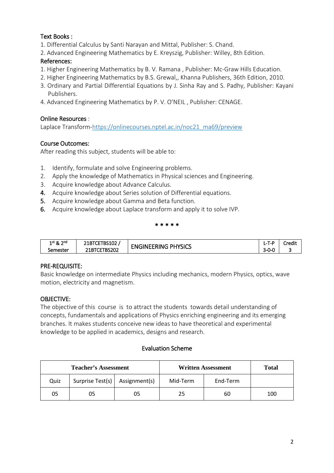# Text Books :

- 1. Differential Calculus by Santi Narayan and Mittal, Publisher: S. Chand.
- 2. Advanced Engineering Mathematics by E. Kreyszig, Publisher: Willey, 8th Edition.

# References:

- 1. Higher Engineering Mathematics by B. V. Ramana , Publisher: Mc-Graw Hills Education.
- 2. Higher Engineering Mathematics by B.S. Grewal,, Khanna Publishers, 36th Edition, 2010.
- 3. Ordinary and Partial Differential Equations by J. Sinha Ray and S. Padhy, Publisher: Kayani Publishers.
- 4. Advanced Engineering Mathematics by P. V. O'NEIL , Publisher: CENAGE.

# Online Resources :

Laplace Transform[-https://onlinecourses.nptel.ac.in/noc21\\_ma69/preview](https://www.google.com/url?q=https://onlinecourses.nptel.ac.in/noc21_ma69/preview&sa=D&source=editors&ust=1632906111270000&usg=AOvVaw3INKuIfefdwqTilwDJwL2y)

# Course Outcomes:

After reading this subject, students will be able to:

- 1. Identify, formulate and solve Engineering problems.
- 2. Apply the knowledge of Mathematics in Physical sciences and Engineering.
- 3. Acquire knowledge about Advance Calculus.
- 4. Acquire knowledge about Series solution of Differential equations.
- 5. Acquire knowledge about Gamma and Beta function.
- 6. Acquire knowledge about Laplace transform and apply it to solve IVP.

#### \* \* \* \* \*

| ാnd<br>1 <sup>st</sup> ጼ | -----<br><b>IBSIDZ</b><br>ZIBILE' | <b>PHYSICS</b><br>GINFFRING | T-P<br><b>L-</b> | Credit |
|--------------------------|-----------------------------------|-----------------------------|------------------|--------|
| semester                 | <b>BS202</b><br>ZIBILE            | - IN<br>∼                   | $3 - 0 - 0$      |        |

# PRE-REQUISITE:

Basic knowledge on intermediate Physics including mechanics, modern Physics, optics, wave motion, electricity and magnetism.

# OBJECTIVE:

The objective of this course is to attract the students towards detail understanding of concepts, fundamentals and applications of Physics enriching engineering and its emerging branches. It makes students conceive new ideas to have theoretical and experimental knowledge to be applied in academics, designs and research.

# Evaluation Scheme

| <b>Teacher's Assessment</b> |                                  |    |          | <b>Written Assessment</b> | <b>Total</b> |
|-----------------------------|----------------------------------|----|----------|---------------------------|--------------|
| Quiz                        | Surprise Test(s)   Assignment(s) |    | Mid-Term | End-Term                  |              |
| 05                          | J5                               | 05 | 25       | 60                        | 100          |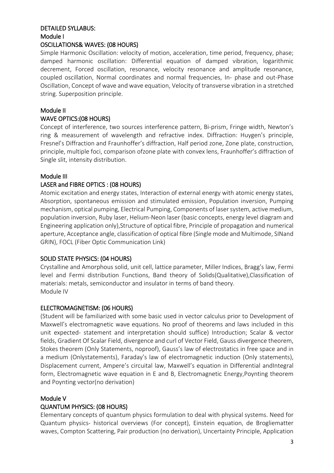# DETAILED SYLLABUS: Module I

#### OSCILLATIONS& WAVES: (08 HOURS)

Simple Harmonic Oscillation: velocity of motion, acceleration, time period, frequency, phase; damped harmonic oscillation: Differential equation of damped vibration, logarithmic decrement, Forced oscillation, resonance, velocity resonance and amplitude resonance, coupled oscillation, Normal coordinates and normal frequencies, In- phase and out-Phase Oscillation, Concept of wave and wave equation, Velocity of transverse vibration in a stretched string. Superposition principle.

# Module II

### WAVE OPTICS:(08 HOURS)

Concept of interference, two sources interference pattern, Bi-prism, Fringe width, Newton's ring & measurement of wavelength and refractive index. Diffraction: Huygen's principle, Fresnel's Diffraction and Fraunhoffer's diffraction, Half period zone, Zone plate, construction, principle, multiple foci, comparison ofzone plate with convex lens, Fraunhoffer's diffraction of Single slit, intensity distribution.

### Module III

### LASER and FIBRE OPTICS : (08 HOURS)

Atomic excitation and energy states, Interaction of external energy with atomic energy states, Absorption, spontaneous emission and stimulated emission, Population inversion, Pumping mechanism, optical pumping, Electrical Pumping, Components of laser system, active medium, population inversion, Ruby laser, Helium-Neon laser (basic concepts, energy level diagram and Engineering application only),Structure of optical fibre, Principle of propagation and numerical aperture, Acceptance angle, classification of optical fibre (Single mode and Multimode, SINand GRIN), FOCL (Fiber Optic Communication Link)

# SOLID STATE PHYSICS: (04 HOURS)

Crystalline and Amorphous solid, unit cell, lattice parameter, Miller Indices, Bragg's law, Fermi level and Fermi distribution Functions, Band theory of Solids(Qualitative),Classification of materials: metals, semiconductor and insulator in terms of band theory. Module IV

#### ELECTROMAGNETISM: (06 HOURS)

(Student will be familiarized with some basic used in vector calculus prior to Development of Maxwell's electromagnetic wave equations. No proof of theorems and laws included in this unit expected- statement and interpretation should suffice) Introduction; Scalar & vector fields, Gradient Of Scalar Field, divergence and curl of Vector Field, Gauss divergence theorem, Stokes theorem (Only Statements, noproof), Gauss's law of electrostatics in free space and in a medium (Onlystatements), Faraday's law of electromagnetic induction (Only statements), Displacement current, Ampere's circuital law, Maxwell's equation in Differential andIntegral form, Electromagnetic wave equation in E and B, Electromagnetic Energy,Poynting theorem and Poynting vector(no derivation)

#### Module V

# QUANTUM PHYSICS: (08 HOURS)

Elementary concepts of quantum physics formulation to deal with physical systems. Need for Quantum physics- historical overviews (For concept), Einstein equation, de Brogliematter waves, Compton Scattering, Pair production (no derivation), Uncertainty Principle, Application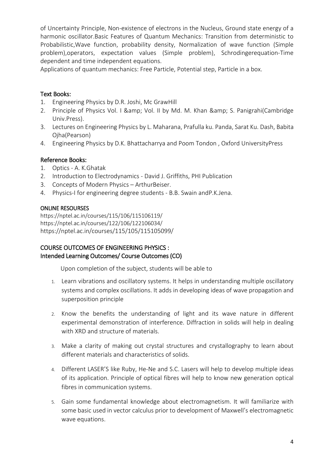of Uncertainty Principle, Non-existence of electrons in the Nucleus, Ground state energy of a harmonic oscillator.Basic Features of Quantum Mechanics: Transition from deterministic to Probabilistic,Wave function, probability density, Normalization of wave function (Simple problem),operators, expectation values (Simple problem), Schrodingerequation-Time dependent and time independent equations.

Applications of quantum mechanics: Free Particle, Potential step, Particle in a box.

# Text Books:

- 1. Engineering Physics by D.R. Joshi, Mc GrawHill
- 2. Principle of Physics Vol. I & amp; Vol. II by Md. M. Khan & amp; S. Panigrahi(Cambridge Univ.Press).
- 3. Lectures on Engineering Physics by L. Maharana, Prafulla ku. Panda, Sarat Ku. Dash, Babita Ojha(Pearson)
- 4. Engineering Physics by D.K. Bhattacharrya and Poom Tondon , Oxford UniversityPress

# Reference Books:

- 1. Optics A. K.Ghatak
- 2. Introduction to Electrodynamics David J. Griffiths, PHI Publication
- 3. Concepts of Modern Physics ArthurBeiser.
- 4. Physics-I for engineering degree students B.B. Swain andP.K.Jena.

### ONLINE RESOURSES

http[s://nptel.ac.in/courses/115/106/115106119/](https://nptel.ac.in/courses/115/106/115106119/) <https://nptel.ac.in/courses/122/106/122106034/> https://nptel.ac.in/courses/115/105/115105099/

# COURSE OUTCOMES OF ENGINEERING PHYSICS : Intended Learning Outcomes/ Course Outcomes (CO)

Upon completion of the subject, students will be able to

- 1. Learn vibrations and oscillatory systems. It helps in understanding multiple oscillatory systems and complex oscillations. It adds in developing ideas of wave propagation and superposition principle
- 2. Know the benefits the understanding of light and its wave nature in different experimental demonstration of interference. Diffraction in solids will help in dealing with XRD and structure of materials.
- 3. Make a clarity of making out crystal structures and crystallography to learn about different materials and characteristics of solids.
- 4. Different LASER'S like Ruby, He-Ne and S.C. Lasers will help to develop multiple ideas of its application. Principle of optical fibres will help to know new generation optical fibres in communication systems.
- 5. Gain some fundamental knowledge about electromagnetism. It will familiarize with some basic used in vector calculus prior to development of Maxwell's electromagnetic wave equations.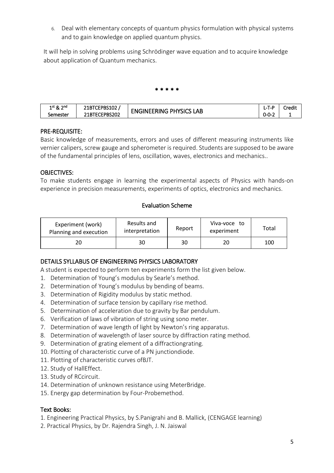6. Deal with elementary concepts of quantum physics formulation with physical systems and to gain knowledge on applied quantum physics.

It will help in solving problems using Schrödinger wave equation and to acquire knowledge about application of Quantum mechanics.

#### \* \* \* \* \*

| 1st & 2nd | TCEPBS102<br><b>ZIBILEPH</b> |                            | -<br>L-P<br>ᄓ | Credit |
|-----------|------------------------------|----------------------------|---------------|--------|
| semester  | 21BTECEPBS202                | LAB<br>ENGINEERING PHYSICS | $0 - 0 - 2$   |        |

### PRE-REQUISITE:

Basic knowledge of measurements, errors and uses of different measuring instruments like vernier calipers, screw gauge and spherometer is required. Students are supposed to be aware of the fundamental principles of lens, oscillation, waves, electronics and mechanics..

### OBJECTIVES:

To make students engage in learning the experimental aspects of Physics with hands-on experience in precision measurements, experiments of optics, electronics and mechanics.

# Evaluation Scheme

| Experiment (work)<br>Planning and execution | Results and<br>interpretation | Report | Viva-voce to<br>experiment | Total |
|---------------------------------------------|-------------------------------|--------|----------------------------|-------|
|                                             | 30                            | 30     | 20                         | 100   |

#### DETAILS SYLLABUS OF ENGINEERING PHYSICS LABORATORY

A student is expected to perform ten experiments form the list given below.

- 1. Determination of Young's modulus by Searle's method.
- 2. Determination of Young's modulus by bending of beams.
- 3. Determination of Rigidity modulus by static method.
- 4. Determination of surface tension by capillary rise method.
- 5. Determination of acceleration due to gravity by Bar pendulum.
- 6. Verification of laws of vibration of string using sono meter.
- 7. Determination of wave length of light by Newton's ring apparatus.
- 8. Determination of wavelength of laser source by diffraction rating method.
- 9. Determination of grating element of a diffractiongrating.
- 10. Plotting of characteristic curve of a PN junctiondiode.
- 11. Plotting of characteristic curves ofBJT.
- 12. Study of HallEffect.
- 13. Study of RCcircuit.
- 14. Determination of unknown resistance using MeterBridge.
- 15. Energy gap determination by Four-Probemethod.

# Text Books:

- 1. Engineering Practical Physics, by S.Panigrahi and B. Mallick, (CENGAGE learning)
- 2. Practical Physics, by Dr. Rajendra Singh, J. N. Jaiswal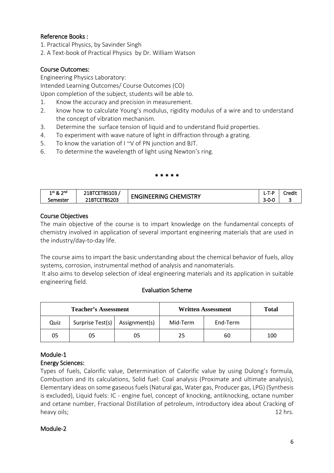# Reference Books :

- 1. Practical Physics, by Savinder Singh
- 2. A Text-book of Practical Physics by Dr. William Watson

# Course Outcomes:

Engineering Physics Laboratory:

Intended Learning Outcomes/ Course Outcomes (CO)

Upon completion of the subject, students will be able to.

- 1. Know the accuracy and precision in measurement.
- 2. know how to calculate Young's modulus, rigidity modulus of a wire and to understand the concept of vibration mechanism.
- 3. Determine the surface tension of liquid and to understand fluid properties.
- 4. To experiment with wave nature of light in diffraction through a grating.
- 5. To know the variation of I ~V of PN junction and BJT.
- 6. To determine the wavelength of light using Newton's ring.

#### \* \* \* \* \*

| າມ Jnd<br>$1^{\rm st}$ & | nceon<br>348TCF<br>182103<br>ZIBILE |                                      | $\overline{\phantom{a}}$<br>.<br>$\overline{\phantom{a}}$ | Credit |
|--------------------------|-------------------------------------|--------------------------------------|-----------------------------------------------------------|--------|
| Semester                 | :TBS203<br><b>ZIBICE</b>            | <b>CHEMISTR.</b><br>: FNGINEERING بـ | -<br>$\sim$<br>3-V-U                                      |        |

### Course Objectives

The main objective of the course is to impart knowledge on the fundamental concepts of chemistry involved in application of several important engineering materials that are used in the industry/day-to-day life.

The course aims to impart the basic understanding about the chemical behavior of fuels, alloy systems, corrosion, instrumental method of analysis and nanomaterials.

It also aims to develop selection of ideal engineering materials and its application in suitable engineering field.

#### Evaluation Scheme

| <b>Teacher's Assessment</b> |                                  |    |          | <b>Written Assessment</b> | Total |
|-----------------------------|----------------------------------|----|----------|---------------------------|-------|
| Quiz                        | Surprise Test(s)   Assignment(s) |    | Mid-Term | End-Term                  |       |
| 05                          |                                  | 05 | 25       | 60                        | 100   |

# Module-1

# Energy Sciences:

Types of fuels, Calorific value, Determination of Calorific value by using Dulong's formula, Combustion and its calculations, Solid fuel: Coal analysis (Proximate and ultimate analysis), Elementary ideas on some gaseous fuels (Natural gas, Water gas, Producer gas, LPG) (Synthesis is excluded), Liquid fuels: IC - engine fuel, concept of knocking, antiknocking, octane number and cetane number, Fractional Distillation of petroleum, introductory idea about Cracking of heavy oils; 12 hrs. 12 hrs. 12 hrs. 12 hrs. 12 hrs. 12 hrs. 12 hrs. 12 hrs. 12 hrs. 12 hrs. 12 hrs. 12 hrs. 12 hrs. 12 hrs. 12 hrs. 12 hrs. 12 hrs. 12 hrs. 12 hrs. 12 hrs. 12 hrs. 12 hrs. 12 hrs. 12 hrs. 12 hrs. 12 hrs. 12

# Module-2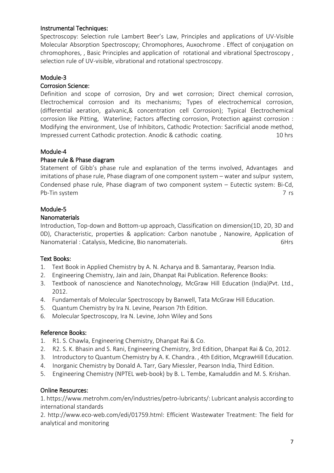# Instrumental Techniques:

Spectroscopy: Selection rule Lambert Beer's Law, Principles and applications of UV-Visible Molecular Absorption Spectroscopy; Chromophores, Auxochrome . Effect of conjugation on chromophores, , Basic Principles and application of rotational and vibrational Spectroscopy , selection rule of UV-visible, vibrational and rotational spectroscopy.

### Module-3

#### Corrosion Science:

Definition and scope of corrosion, Dry and wet corrosion; Direct chemical corrosion, Electrochemical corrosion and its mechanisms; Types of electrochemical corrosion, (differential aeration, galvanic,& concentration cell Corrosion); Typical Electrochemical corrosion like Pitting, Waterline; Factors affecting corrosion, Protection against corrosion : Modifying the environment, Use of Inhibitors, Cathodic Protection: Sacrificial anode method, Impressed current Cathodic protection. Anodic & cathodic coating. 10 hrs

#### Module-4

### Phase rule & Phase diagram

Statement of Gibb's phase rule and explanation of the terms involved, Advantages and imitations of phase rule, Phase diagram of one component system – water and sulpur system, Condensed phase rule, Phase diagram of two component system – Eutectic system: Bi-Cd, Pb-Tin system 7 rs

#### Module-5

#### Nanomaterials

Introduction, Top-down and Bottom-up approach, Classification on dimension(1D, 2D, 3D and 0D), Characteristic, properties & application: Carbon nanotube , Nanowire, Application of Nanomaterial : Catalysis, Medicine, Bio nanomaterials. Catalysis, 6Hrs

#### Text Books:

- 1. Text Book in Applied Chemistry by A. N. Acharya and B. Samantaray, Pearson India.
- 2. Engineering Chemistry, Jain and Jain, Dhanpat Rai Publication. Reference Books:
- 3. Textbook of nanoscience and Nanotechnology, McGraw Hill Education (India)Pvt. Ltd., 2012.
- 4. Fundamentals of Molecular Spectroscopy by Banwell, Tata McGraw Hill Education.
- 5. Quantum Chemistry by Ira N. Levine, Pearson 7th Edition.
- 6. Molecular Spectroscopy, Ira N. Levine, John Wiley and Sons

#### Reference Books:

- 1. R1. S. Chawla, Engineering Chemistry, Dhanpat Rai & Co.
- 2. R2. S. K. Bhasin and S. Rani, Engineering Chemistry, 3rd Edition, Dhanpat Rai & Co, 2012.
- 3. Introductory to Quantum Chemistry by A. K. Chandra. , 4th Edition, McgrawHill Education.
- 4. Inorganic Chemistry by Donald A. Tarr, Gary Miessler, Pearson India, Third Edition.
- 5. Engineering Chemistry (NPTEL web-book) by B. L. Tembe, Kamaluddin and M. S. Krishan.

#### Online Resources:

1. https://www.metrohm.com/en/industries/petro-lubricants/: Lubricant analysis according to international standards

2. http://www.eco-web.com/edi/01759.html: Efficient Wastewater Treatment: The field for analytical and monitoring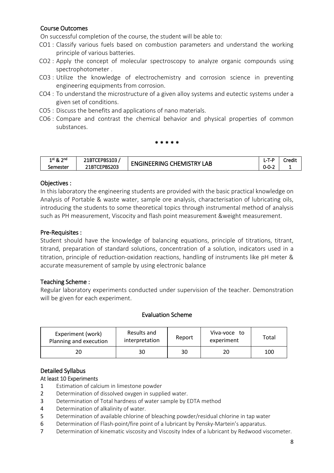# Course Outcomes

On successful completion of the course, the student will be able to:

- CO1 : Classify various fuels based on combustion parameters and understand the working principle of various batteries.
- CO2 : Apply the concept of molecular spectroscopy to analyze organic compounds using spectrophotometer .
- CO3 : Utilize the knowledge of electrochemistry and corrosion science in preventing engineering equipments from corrosion.
- CO4 : To understand the microstructure of a given alloy systems and eutectic systems under a given set of conditions.
- CO5 : Discuss the benefits and applications of nano materials.
- CO6 : Compare and contrast the chemical behavior and physical properties of common substances.

#### \* \* \* \* \*

| ാnd<br>1st & | 21BTCEPBS103 | <b>CHEMISTRY</b><br><b>FNGINEERING L.</b> | $\overline{\phantom{0}}$ | Credit |
|--------------|--------------|-------------------------------------------|--------------------------|--------|
| Semester     | 21BTCEPBS203 | LAB                                       | $\sim$ $\sim$<br>0-0-2   |        |

### Objectives :

In this laboratory the engineering students are provided with the basic practical knowledge on Analysis of Portable & waste water, sample ore analysis, characterisation of lubricating oils, introducing the students to some theoretical topics through instrumental method of analysis such as PH measurement, Viscocity and flash point measurement &weight measurement.

### Pre-Requisites :

Student should have the knowledge of balancing equations, principle of titrations, titrant, titrand, preparation of standard solutions, concentration of a solution, indicators used in a titration, principle of reduction-oxidation reactions, handling of instruments like pH meter & accurate measurement of sample by using electronic balance

# Teaching Scheme :

Regular laboratory experiments conducted under supervision of the teacher. Demonstration will be given for each experiment.

#### Evaluation Scheme

| Experiment (work)<br>Planning and execution | Results and<br>interpretation | Report | Viva-voce to<br>experiment | Total |
|---------------------------------------------|-------------------------------|--------|----------------------------|-------|
|                                             | 30                            | 30     | 20                         | 100   |

# Detailed Syllabus

#### At least 10 Experiments

- 1 Estimation of calcium in limestone powder
- 2 Determination of dissolved oxygen in supplied water.
- 3 Determination of Total hardness of water sample by EDTA method
- 4 Determination of alkalinity of water.
- 5 Determination of available chlorine of bleaching powder/residual chlorine in tap water
- 6 Determination of Flash-point/fire point of a lubricant by Pensky-Martein's apparatus.
- 7 Determination of kinematic viscosity and Viscosity Index of a lubricant by Redwood viscometer.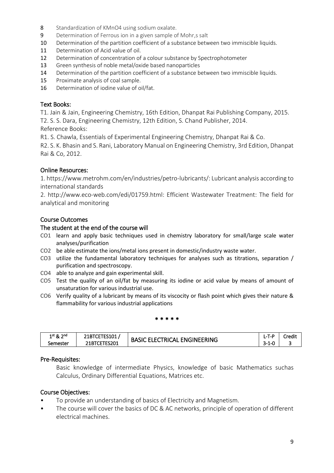- 8 Standardization of KMnO4 using sodium oxalate.
- 9 Determination of Ferrous ion in a given sample of Mohr,s salt
- 10 Determination of the partition coefficient of a substance between two immiscible liquids.
- 11 Determination of Acid value of oil.
- 12 Determination of concentration of a colour substance by Spectrophotometer
- 13 Green synthesis of noble metal/oxide based nanoparticles
- 14 Determination of the partition coefficient of a substance between two immiscible liquids.
- 15 Proximate analysis of coal sample.
- 16 Determination of iodine value of oil/fat.

#### Text Books:

T1. Jain & Jain, Engineering Chemistry, 16th Edition, Dhanpat Rai Publishing Company, 2015.

T2. S. S. Dara, Engineering Chemistry, 12th Edition, S. Chand Publisher, 2014. Reference Books:

R1. S. Chawla, Essentials of Experimental Engineering Chemistry, Dhanpat Rai & Co.

R2. S. K. Bhasin and S. Rani, Laboratory Manual on Engineering Chemistry, 3rd Edition, Dhanpat Rai & Co, 2012.

#### Online Resources:

1. https://www.metrohm.com/en/industries/petro-lubricants/: Lubricant analysis according to international standards

2. http://www.eco-web.com/edi/01759.html: Efficient Wastewater Treatment: The field for analytical and monitoring

#### Course Outcomes

#### The student at the end of the course will

- CO1 learn and apply basic techniques used in chemistry laboratory for small/large scale water analyses/purification
- CO2 be able estimate the ions/metal ions present in domestic/industry waste water.
- CO3 utilize the fundamental laboratory techniques for analyses such as titrations, separation / purification and spectroscopy.
- CO4 able to analyze and gain experimental skill.
- CO5 Test the quality of an oil/fat by measuring its iodine or acid value by means of amount of unsaturation for various industrial use.
- CO6 Verify quality of a lubricant by means of its viscocity or flash point which gives their nature & flammability for various industrial applications

#### \* \* \* \* \*

| 1st & 2nd | <b>TECAO4</b><br>ZIBILEIESIUI. | <b>ENGINEERING</b><br>ELECI<br><b>BASIC</b><br>' RICAL | T_P<br>. L-1 | Credit |
|-----------|--------------------------------|--------------------------------------------------------|--------------|--------|
| Semester  | <b>TES201</b><br>$21$ BTCE     |                                                        | 3-1-0        |        |

#### Pre-Requisites:

Basic knowledge of intermediate Physics, knowledge of basic Mathematics suchas Calculus, Ordinary Differential Equations, Matrices etc.

#### Course Objectives:

- To provide an understanding of basics of Electricity and Magnetism.
- The course will cover the basics of DC & AC networks, principle of operation of different electrical machines.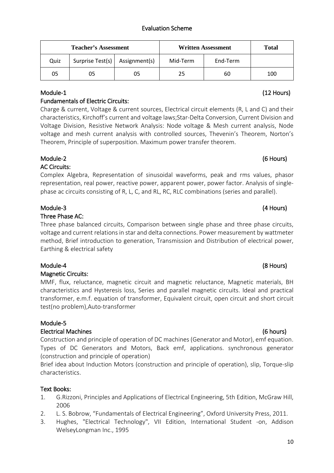# Evaluation Scheme

| <b>Teacher's Assessment</b> |                                  |    |          | <b>Written Assessment</b> | <b>Total</b> |
|-----------------------------|----------------------------------|----|----------|---------------------------|--------------|
| Quiz                        | Surprise Test(s)   Assignment(s) |    | Mid-Term | End-Term                  |              |
| 05                          |                                  | 05 | 25       | 60                        | 100          |

# Fundamentals of Electric Circuits:

Charge & current, Voltage & current sources, Electrical circuit elements (R, L and C) and their characteristics, Kirchoff's current and voltage laws;Star-Delta Conversion, Current Division and Voltage Division, Resistive Network Analysis: Node voltage & Mesh current analysis, Node voltage and mesh current analysis with controlled sources, Thevenin's Theorem, Norton's Theorem, Principle of superposition. Maximum power transfer theorem.

# Module-2 (6 Hours)

AC Circuits:

Complex Algebra, Representation of sinusoidal waveforms, peak and rms values, phasor representation, real power, reactive power, apparent power, power factor. Analysis of singlephase ac circuits consisting of R, L, C, and RL, RC, RLC combinations (series and parallel).

# Module-3 (4 Hours)

# Three Phase AC:

Three phase balanced circuits, Comparison between single phase and three phase circuits, voltage and current relations in star and delta connections. Power measurement by wattmeter method, Brief introduction to generation, Transmission and Distribution of electrical power, Earthing & electrical safety

# Module-4 (8 Hours)

# Magnetic Circuits:

MMF, flux, reluctance, magnetic circuit and magnetic reluctance, Magnetic materials, BH characteristics and Hysteresis loss, Series and parallel magnetic circuits. Ideal and practical transformer, e.m.f. equation of transformer, Equivalent circuit, open circuit and short circuit test(no problem),Auto-transformer

# Module-5

# Electrical Machines (6 hours)

Construction and principle of operation of DC machines (Generator and Motor), emf equation. Types of DC Generators and Motors, Back emf, applications. synchronous generator (construction and principle of operation)

Brief idea about Induction Motors (construction and principle of operation), slip, Torque-slip characteristics.

# Text Books:

- 1. G.Rizzoni, Principles and Applications of Electrical Engineering, 5th Edition, McGraw Hill, 2006
- 2. L. S. Bobrow, "Fundamentals of Electrical Engineering", Oxford University Press, 2011.
- 3. Hughes, "Electrical Technology", VII Edition, International Student -on, Addison WelseyLongman Inc., 1995

# Module-1 (12 Hours)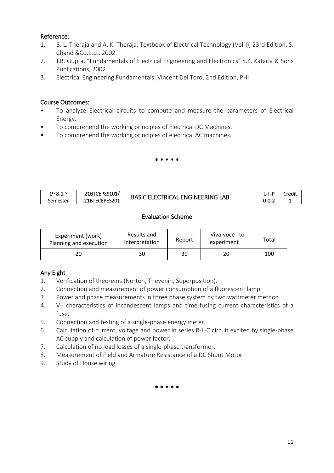# Reference:

- 1. B. L. Theraja and A. K. Theraja, Textbook of Electrical Technology (Vol-I), 23rd Edition, S. Chand &Co.Ltd., 2002.
- 2. J.B. Gupta, "Fundamentals of Electrical Engineering and Electronics" S.K. Kataria & Sons Publications, 2002
- 3. Electrical Engineering Fundamentals, Vincent Del Toro, 2nd Edition, PHI

# Course Outcomes:

- To analyze Electrical circuits to compute and measure the parameters of Electrical Energy.
- To comprehend the working principles of Electrical DC Machines.
- To comprehend the working principles of electrical AC machines.

### \* \* \* \* \*

| ີ ລnd<br>$1^{st}$ & $\angle$ | CEPES101.<br>™FPF<br>-TDI. | $\overline{\mathsf{A}\mathsf{B}}$<br><b>FNGINFFRING</b><br><u>EL EL</u> | 1 – L<br><b>L-</b>         | Credit |
|------------------------------|----------------------------|-------------------------------------------------------------------------|----------------------------|--------|
| Semester                     | `EPES201<br>21BTEC         | .AI.<br>I RIO<br>BASIL                                                  | . .<br>- 0-0- <sub>-</sub> |        |

# Evaluation Scheme

| Experiment (work)<br>Planning and execution | Results and<br>interpretation | Report | Viva-voce to<br>experiment | Total |
|---------------------------------------------|-------------------------------|--------|----------------------------|-------|
|                                             | 30                            | 30     | 20                         | 100   |

# Any Eight

- 1. Verification of theorems (Norton, Thevenin, Superposition).
- 2. Connection and measurement of power consumption of a fluorescent lamp.
- 3. Power and phase measurements in three phase system by two wattmeter method .
- 4. V-I characteristics of incandescent lamps and time-fusing current characteristics of a fuse.
- 5. Connection and testing of a single-phase energy meter.
- 6. Calculation of current, voltage and power in series R-L-C circuit excited by single-phase AC supply and calculation of power factor.
- 7. Calculation of no load losses of a single-phase transformer.
- 8. Measurement of Field and Armature Resistance of a DC Shunt Motor.
- 9. Study of House wiring.

\* \* \* \* \*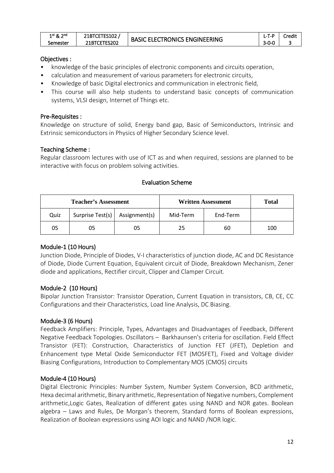| $1$ st & $\angle$<br>ົງ nd | 21BTCETES102 | C ELECTRONICS ENGINEERING | 1 – P<br>$\cdot$ $ \cdot$ | Credit |
|----------------------------|--------------|---------------------------|---------------------------|--------|
| Semester                   | 21BTCETES202 | <b>BASIC</b>              | $3 - 0 - 0$               |        |

### Objectives :

- knowledge of the basic principles of electronic components and circuits operation,
- calculation and measurement of various parameters for electronic circuits,
- Knowledge of basic Digital electronics and communication in electronic field,
- This course will also help students to understand basic concepts of communication systems, VLSI design, Internet of Things etc.

#### Pre-Requisites :

Knowledge on structure of solid, Energy band gap, Basic of Semiconductors, Intrinsic and Extrinsic semiconductors in Physics of Higher Secondary Science level.

### Teaching Scheme :

Regular classroom lectures with use of ICT as and when required, sessions are planned to be interactive with focus on problem solving activities.

| <b>Teacher's Assessment</b> |                                  |    | <b>Written Assessment</b> |          | <b>Total</b> |
|-----------------------------|----------------------------------|----|---------------------------|----------|--------------|
| Quiz                        | Surprise Test(s)   Assignment(s) |    | Mid-Term                  | End-Term |              |
| 05                          | 05                               | 05 | 25                        | 60       | 100          |

#### Evaluation Scheme

#### Module-1 (10 Hours)

Junction Diode, Principle of Diodes, V-I characteristics of junction diode, AC and DC Resistance of Diode, Diode Current Equation, Equivalent circuit of Diode, Breakdown Mechanism, Zener diode and applications, Rectifier circuit, Clipper and Clamper Circuit.

# Module-2 (10 Hours)

Bipolar Junction Transistor: Transistor Operation, Current Equation in transistors, CB, CE, CC Configurations and their Characteristics, Load line Analysis, DC Biasing.

# Module-3 (6 Hours)

Feedback Amplifiers: Principle, Types, Advantages and Disadvantages of Feedback, Different Negative Feedback Topologies. Oscillators – Barkhaunsen's criteria for oscillation. Field Effect Transistor (FET): Construction, Characteristics of Junction FET (JFET), Depletion and Enhancement type Metal Oxide Semiconductor FET (MOSFET), Fixed and Voltage divider Biasing Configurations, Introduction to Complementary MOS (CMOS) circuits

# Module-4 (10 Hours)

Digital Electronic Principles: Number System, Number System Conversion, BCD arithmetic, Hexa decimal arithmetic, Binary arithmetic, Representation of Negative numbers, Complement arithmetic,Logic Gates, Realization of different gates using NAND and NOR gates. Boolean algebra – Laws and Rules, De Morgan's theorem, Standard forms of Boolean expressions, Realization of Boolean expressions using AOI logic and NAND /NOR logic.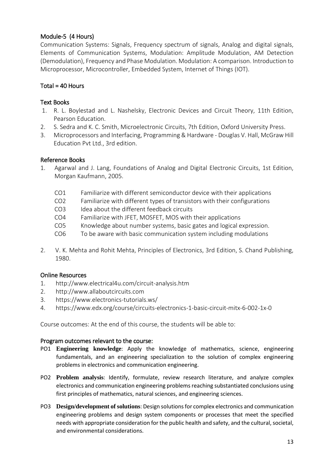# Module-5 (4 Hours)

Communication Systems: Signals, Frequency spectrum of signals, Analog and digital signals, Elements of Communication Systems, Modulation: Amplitude Modulation, AM Detection (Demodulation), Frequency and Phase Modulation. Modulation: A comparison. Introduction to Microprocessor, Microcontroller, Embedded System, Internet of Things (IOT).

# $Total = 40$  Hours

# Text Books

- 1. R. L. Boylestad and L. Nashelsky, Electronic Devices and Circuit Theory, 11th Edition, Pearson Education.
- 2. S. Sedra and K. C. Smith, Microelectronic Circuits, 7th Edition, Oxford University Press.
- 3. Microprocessors and Interfacing, Programming & Hardware Douglas V. Hall, McGraw Hill Education Pvt Ltd., 3rd edition.

# Reference Books

- 1. Agarwal and J. Lang, Foundations of Analog and Digital Electronic Circuits, 1st Edition, Morgan Kaufmann, 2005.
	- CO1 Familiarize with different semiconductor device with their applications
	- CO2 Familiarize with different types of transistors with their configurations
	- CO3 Idea about the different feedback circuits
	- CO4 Familiarize with JFET, MOSFET, MOS with their applications
	- CO5 Knowledge about number systems, basic gates and logical expression.
	- CO6 To be aware with basic communication system including modulations
- 2. V. K. Mehta and Rohit Mehta, Principles of Electronics, 3rd Edition, S. Chand Publishing, 1980.

# Online Resources

- 1. http://www.electrical4u.com/circuit-analysis.htm
- 2. http://www.allaboutcircuits.com
- 3. https://www.electronics-tutorials.ws/
- 4. https://www.edx.org/course/circuits-electronics-1-basic-circuit-mitx-6-002-1x-0

Course outcomes: At the end of this course, the students will be able to:

#### Program outcomes relevant to the course:

- PO1 **Engineering knowledge**: Apply the knowledge of mathematics, science, engineering fundamentals, and an engineering specialization to the solution of complex engineering problems in electronics and communication engineering.
- PO2 **Problem analysis**: Identify, formulate, review research literature, and analyze complex electronics and communication engineering problems reaching substantiated conclusions using first principles of mathematics, natural sciences, and engineering sciences.
- PO3 **Design/development of solutions**: Design solutions for complex electronics and communication engineering problems and design system components or processes that meet the specified needs with appropriate consideration for the public health and safety, and the cultural, societal, and environmental considerations.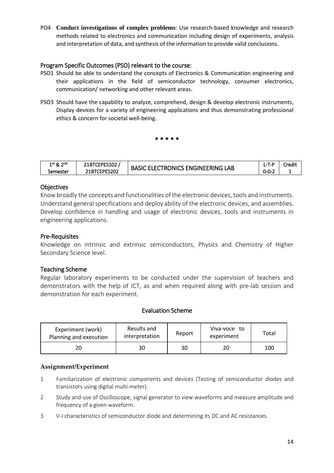PO4 **Conduct investigations of complex problems**: Use research-based knowledge and research methods related to electronics and communication including design of experiments, analysis and interpretation of data, and synthesis of the information to provide valid conclusions.

#### Program Specific Outcomes (PSO) relevant to the course:

- PSO1 Should be able to understand the concepts of Electronics & Communication engineering and their applications in the field of semiconductor technology, consumer electronics, communication/ networking and other relevant areas.
- PSO3 Should have the capability to analyze, comprehend, design & develop electronic instruments, Display devices for a variety of engineering applications and thus demonstrating professional ethics & concern for societal well-being.

\* \* \* \* \*

| 1st & 2nd | <br>. PPF .<br>ESIUZ<br>ZIBILEI | LAB<br>- 1<br>- 1                     | -<br>$L$ -T-P          | .<br>Iredit |
|-----------|---------------------------------|---------------------------------------|------------------------|-------------|
| Semester  | ES202<br>-PFS.<br>. UL.         | ENGINEERING<br>-RO<br>∵JNIC.<br>BASIC | $\sim$ $\sim$<br>0-0-∠ |             |

#### **Objectives**

Know broadly the concepts and functionalities of the electronic devices, tools and instruments. Understand general specifications and deploy ability of the electronic devices, and assemblies. Develop confidence in handling and usage of electronic devices, tools and instruments in engineering applications.

#### Pre-Requisites

Knowledge on intrinsic and extrinsic semiconductors, Physics and Chemistry of Higher Secondary Science level.

#### Teaching Scheme

Regular laboratory experiments to be conducted under the supervision of teachers and demonstrators with the help of ICT, as and when required along with pre-lab session and demonstration for each experiment.

#### Evaluation Scheme

| Experiment (work)<br>Planning and execution | Results and<br>interpretation | Report | Viva-voce to<br>experiment | Total |
|---------------------------------------------|-------------------------------|--------|----------------------------|-------|
| 20                                          | 30                            | 30     | 20                         | 100   |

#### **Assignment/Experiment**

- 1 Familiarization of electronic components and devices (Testing of semiconductor diodes and transistors using digital multi-meter).
- 2 Study and use of Oscilloscope, signal generator to view waveforms and measure amplitude and frequency of a given waveform.
- 3 V-I characteristics of semiconductor diode and determining its DC and AC resistances.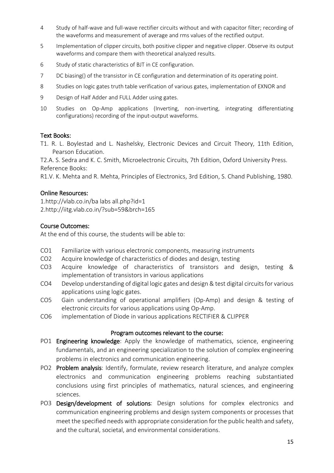- 4 Study of half-wave and full-wave rectifier circuits without and with capacitor filter; recording of the waveforms and measurement of average and rms values of the rectified output.
- 5 Implementation of clipper circuits, both positive clipper and negative clipper. Observe its output waveforms and compare them with theoretical analyzed results.
- 6 Study of static characteristics of BJT in CE configuration.
- 7 DC biasing() of the transistor in CE configuration and determination of its operating point.
- 8 Studies on logic gates truth table verification of various gates, implementation of EXNOR and
- 9 Design of Half Adder and FULL Adder using gates.
- 10 Studies on Op-Amp applications (Inverting, non-inverting, integrating differentiating configurations) recording of the input-output waveforms.

#### Text Books:

T1. R. L. Boylestad and L. Nashelsky, Electronic Devices and Circuit Theory, 11th Edition, Pearson Education.

T2.A. S. Sedra and K. C. Smith, Microelectronic Circuits, 7th Edition, Oxford University Press. Reference Books:

R1.V. K. Mehta and R. Mehta, Principles of Electronics, 3rd Edition, S. Chand Publishing, 1980.

#### Online Resources:

1.http://vlab.co.in/ba labs all.php?id=1 2.http://iitg.vlab.co.in/?sub=59&brch=165

#### Course Outcomes:

At the end of this course, the students will be able to:

- CO1 Familiarize with various electronic components, measuring instruments
- CO2 Acquire knowledge of characteristics of diodes and design, testing
- CO3 Acquire knowledge of characteristics of transistors and design, testing & implementation of transistors in various applications
- CO4 Develop understanding of digital logic gates and design & test digital circuits for various applications using logic gates.
- CO5 Gain understanding of operational amplifiers (Op-Amp) and design & testing of electronic circuits for various applications using Op-Amp.
- CO6 implementation of Diode in various applications RECTIFIER & CLIPPER

#### Program outcomes relevant to the course:

- PO1 Engineering knowledge: Apply the knowledge of mathematics, science, engineering fundamentals, and an engineering specialization to the solution of complex engineering problems in electronics and communication engineering.
- PO2 Problem analysis: Identify, formulate, review research literature, and analyze complex electronics and communication engineering problems reaching substantiated conclusions using first principles of mathematics, natural sciences, and engineering sciences.
- PO3 Design/development of solutions: Design solutions for complex electronics and communication engineering problems and design system components or processes that meet the specified needs with appropriate consideration for the public health and safety, and the cultural, societal, and environmental considerations.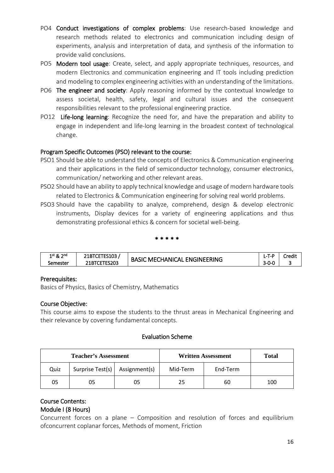- PO4 Conduct investigations of complex problems: Use research-based knowledge and research methods related to electronics and communication including design of experiments, analysis and interpretation of data, and synthesis of the information to provide valid conclusions.
- PO5 Modern tool usage: Create, select, and apply appropriate techniques, resources, and modern Electronics and communication engineering and IT tools including prediction and modeling to complex engineering activities with an understanding of the limitations.
- PO6 The engineer and society: Apply reasoning informed by the contextual knowledge to assess societal, health, safety, legal and cultural issues and the consequent responsibilities relevant to the professional engineering practice.
- PO12 Life-long learning: Recognize the need for, and have the preparation and ability to engage in independent and life-long learning in the broadest context of technological change.

# Program Specific Outcomes (PSO) relevant to the course:

- PSO1 Should be able to understand the concepts of Electronics & Communication engineering and their applications in the field of semiconductor technology, consumer electronics, communication/ networking and other relevant areas.
- PSO2 Should have an ability to apply technical knowledge and usage of modern hardware tools related to Electronics & Communication engineering for solving real world problems.
- PSO3 Should have the capability to analyze, comprehend, design & develop electronic instruments, Display devices for a variety of engineering applications and thus demonstrating professional ethics & concern for societal well-being.

\* \* \* \* \*

| ാnd<br>$1$ st & $\angle$ | ES103       | <b>ENGINEERING</b>               | $ -$<br>. | Credit |
|--------------------------|-------------|----------------------------------|-----------|--------|
| Semester                 | TES203<br>∼ | <b>BASIC</b><br>`.HANICAL<br>ME) | 3-0-C     | ۰      |

# Prerequisites:

Basics of Physics, Basics of Chemistry, Mathematics

# Course Objective:

This course aims to expose the students to the thrust areas in Mechanical Engineering and their relevance by covering fundamental concepts.

# Evaluation Scheme

| <b>Teacher's Assessment</b> |                                  |    | <b>Written Assessment</b> | <b>Total</b> |     |
|-----------------------------|----------------------------------|----|---------------------------|--------------|-----|
| Quiz                        | Surprise Test(s)   Assignment(s) |    | Mid-Term                  | End-Term     |     |
| 05                          | 05                               | 05 | 25                        | 60           | 100 |

# Course Contents:

# Module I (8 Hours)

Concurrent forces on a plane – Composition and resolution of forces and equilibrium ofconcurrent coplanar forces, Methods of moment, Friction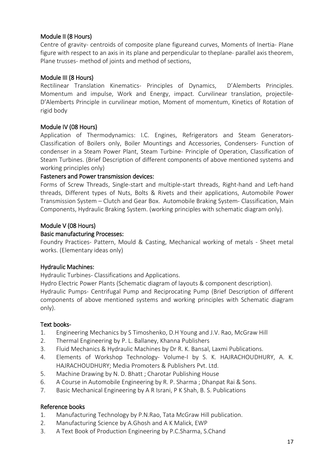# Module II (8 Hours)

Centre of gravity- centroids of composite plane figureand curves, Moments of Inertia- Plane figure with respect to an axis in its plane and perpendicular to theplane- parallel axis theorem, Plane trusses- method of joints and method of sections,

# Module III (8 Hours)

Rectilinear Translation Kinematics- Principles of Dynamics, D'Alemberts Principles. Momentum and impulse, Work and Energy, impact. Curvilinear translation, projectile-D'Alemberts Principle in curvilinear motion, Moment of momentum, Kinetics of Rotation of rigid body

### Module IV (08 Hours)

Application of Thermodynamics: I.C. Engines, Refrigerators and Steam Generators-Classification of Boilers only, Boiler Mountings and Accessories, Condensers- Function of condenser in a Steam Power Plant, Steam Turbine- Principle of Operation, Classification of Steam Turbines. (Brief Description of different components of above mentioned systems and working principles only)

#### Fasteners and Power transmission devices:

Forms of Screw Threads, Single-start and multiple-start threads, Right-hand and Left-hand threads, Different types of Nuts, Bolts & Rivets and their applications, Automobile Power Transmission System – Clutch and Gear Box. Automobile Braking System- Classification, Main Components, Hydraulic Braking System. (working principles with schematic diagram only).

### Module V (08 Hours)

#### Basic manufacturing Processes:

Foundry Practices- Pattern, Mould & Casting, Mechanical working of metals - Sheet metal works. (Elementary ideas only)

#### Hydraulic Machines:

Hydraulic Turbines- Classifications and Applications.

Hydro Electric Power Plants (Schematic diagram of layouts & component description). Hydraulic Pumps- Centrifugal Pump and Reciprocating Pump (Brief Description of different components of above mentioned systems and working principles with Schematic diagram only).

# Text books-

- 1. Engineering Mechanics by S Timoshenko, D.H Young and J.V. Rao, McGraw Hill
- 2. Thermal Engineering by P. L. Ballaney, Khanna Publishers
- 3. Fluid Mechanics & Hydraulic Machines by Dr R. K. Bansal, Laxmi Publications.
- 4. Elements of Workshop Technology- Volume-I by S. K. HAJRACHOUDHURY, A. K. HAJRACHOUDHURY; Media Promoters & Publishers Pvt. Ltd.
- 5. Machine Drawing by N. D. Bhatt ; Charotar Publishing House
- 6. A Course in Automobile Engineering by R. P. Sharma ; Dhanpat Rai & Sons.
- 7. Basic Mechanical Engineering by A R Israni, P K Shah, B. S. Publications

#### Reference books

- 1. Manufacturing Technology by P.N.Rao, Tata McGraw Hill publication.
- 2. Manufacturing Science by A.Ghosh and A K Malick, EWP
- 3. A Text Book of Production Engineering by P.C.Sharma, S.Chand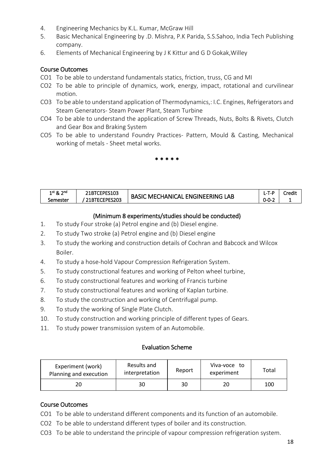- 4. Engineering Mechanics by K.L. Kumar, McGraw Hill
- 5. Basic Mechanical Engineering by .D. Mishra, P.K Parida, S.S.Sahoo, India Tech Publishing company.
- 6. Elements of Mechanical Engineering by J K Kittur and G D Gokak,Willey

### Course Outcomes

- CO1 To be able to understand fundamentals statics, friction, truss, CG and MI
- CO2 To be able to principle of dynamics, work, energy, impact, rotational and curvilinear motion.
- CO3 To be able to understand application of Thermodynamics,: I.C. Engines, Refrigerators and Steam Generators- Steam Power Plant, Steam Turbine
- CO4 To be able to understand the application of Screw Threads, Nuts, Bolts & Rivets, Clutch and Gear Box and Braking System
- CO5 To be able to understand Foundry Practices- Pattern, Mould & Casting, Mechanical working of metals - Sheet metal works.

\* \* \* \* \*

| ົາnd<br>$1st$ & | EPES103:<br>ZIBILL. | LAB<br>. Engineering<br>ME) | $\qquad \qquad$<br>LT.           | Credit |
|-----------------|---------------------|-----------------------------|----------------------------------|--------|
| Semester        | 21BTECEPES203       | `.HANICAL<br>BASIC          | $\sim$<br>$\sim$<br>0-0<br>- - ت | --     |

### (Minimum 8 experiments/studies should be conducted)

- 1. To study Four stroke (a) Petrol engine and (b) Diesel engine.
- 2. To study Two stroke (a) Petrol engine and (b) Diesel engine
- 3. To study the working and construction details of Cochran and Babcock and Wilcox Boiler.
- 4. To study a hose-hold Vapour Compression Refrigeration System.
- 5. To study constructional features and working of Pelton wheel turbine,
- 6. To study constructional features and working of Francis turbine
- 7. To study constructional features and working of Kaplan turbine.
- 8. To study the construction and working of Centrifugal pump.
- 9. To study the working of Single Plate Clutch.
- 10. To study construction and working principle of different types of Gears.
- 11. To study power transmission system of an Automobile.

#### Evaluation Scheme

| Experiment (work)<br>Planning and execution | Results and<br>interpretation | Report | Viva-voce to<br>experiment | Total |
|---------------------------------------------|-------------------------------|--------|----------------------------|-------|
|                                             | 30                            |        |                            | 100   |

#### Course Outcomes

CO1 To be able to understand different components and its function of an automobile.

- CO2 To be able to understand different types of boiler and its construction.
- CO3 To be able to understand the principle of vapour compression refrigeration system.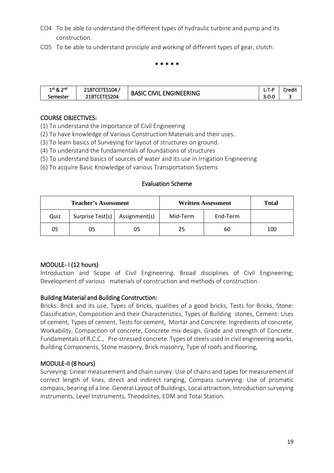- CO4 To be able to understand the different types of hydraulic turbine and pump and its construction.
- CO5 To be able to understand principle and working of different types of gear, clutch.

#### \* \* \* \* \*

| <b>ാ</b> nd<br>$1st$ & $\angle$ | 21BTCETES104 | <b>ENGINEERING</b><br>CIVIL <sup>-</sup> | ั⊥D<br>.    | Credit |
|---------------------------------|--------------|------------------------------------------|-------------|--------|
| Semester                        | 21BTCETES204 | <b>BASIC</b>                             | $3 - 0 - 0$ |        |

### COURSE OBJECTIVES:

- (1) To understand the Importance of Civil Engineering
- (2) To have knowledge of Various Construction Materials and their uses.
- (3) To learn basics of Surveying for layout of structures on ground.
- (4) To understand the fundamentals of foundations of structures
- (5) To understand basics of sources of water and its use in Irrigation Engineering
- (6) To acquire Basic Knowledge of various Transportation Systems

#### Evaluation Scheme

| <b>Teacher's Assessment</b> |                                  | <b>Written Assessment</b> |          | <b>Total</b> |     |
|-----------------------------|----------------------------------|---------------------------|----------|--------------|-----|
| Quiz                        | Surprise Test(s)   Assignment(s) |                           | Mid-Term | End-Term     |     |
| 05                          | 05                               | 05                        | 25       | 60           | 100 |

# MODULE- I (12 hours)

Introduction and Scope of Civil Engineering. Broad disciplines of Civil Engineering; Development of various materials of construction and methods of construction.

# Building Material and Building Construction:

Bricks: Brick and its use, Types of bricks, qualities of a good bricks, Tests for Bricks, Stone: Classification, Composition and their Characteristics, Types of Building stones, Cement: Uses of cement, Types of cement, Tests for cement, Mortar and Concrete: Ingredients of concrete, Workability, Compaction of concrete, Concrete mix design, Grade and strength of Concrete. Fundamentals of R.C.C., Pre-stressed concrete. Types of steels used in civil engineering works, Building Components, Stone masonry, Brick masonry, Type of roofs and flooring,

# MODULE-II (8 hours)

Surveying: Linear measurement and chain survey: Use of chains and tapes for measurement of correct length of lines, direct and indirect ranging, Compass surveying: Use of prismatic compass, bearing of a line. General Layout of Buildings, Local attraction, Introduction surveying instruments, Level Instruments, Theodolites, EDM and Total Station.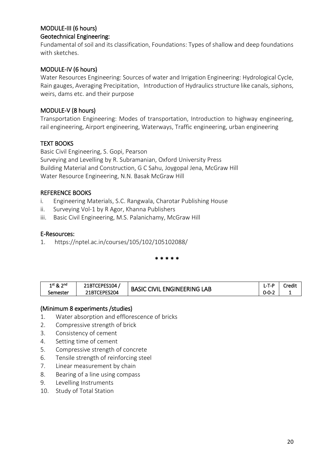# MODULE-III (6 hours) Geotechnical Engineering:

Fundamental of soil and its classification, Foundations: Types of shallow and deep foundations with sketches.

# MODULE-IV (6 hours)

Water Resources Engineering: Sources of water and Irrigation Engineering: Hydrological Cycle, Rain gauges, Averaging Precipitation, Introduction of Hydraulics structure like canals, siphons, weirs, dams etc. and their purpose

# MODULE-V (8 hours)

Transportation Engineering: Modes of transportation, Introduction to highway engineering, rail engineering, Airport engineering, Waterways, Traffic engineering, urban engineering

# TEXT BOOKS

Basic Civil Engineering, S. Gopi, Pearson Surveying and Levelling by R. Subramanian, Oxford University Press Building Material and Construction, G C Sahu, Joygopal Jena, McGraw Hill Water Resource Engineering, N.N. Basak McGraw Hill

# REFERENCE BOOKS

- i. Engineering Materials, S.C. Rangwala, Charotar Publishing House
- ii. Surveying Vol-1 by R Agor, Khanna Publishers
- iii. Basic Civil Engineering, M.S. Palanichamy, McGraw Hill

# E-Resources:

1. https://nptel.ac.in/courses/105/102/105102088/

\* \* \* \* \*

| $1$ st & $\angle$<br>າnd | 21BTCEPES104 | . ENGINEERING !<br><b>BASIC</b><br>$\overline{AB}$<br><b>CIVII</b> | I -T-P | Credit |
|--------------------------|--------------|--------------------------------------------------------------------|--------|--------|
| Semester                 | 21BTCEPES204 |                                                                    | ے-0-0  |        |

# (Minimum 8 experiments /studies)

- 1. Water absorption and efflorescence of bricks
- 2. Compressive strength of brick
- 3. Consistency of cement
- 4. Setting time of cement
- 5. Compressive strength of concrete
- 6. Tensile strength of reinforcing steel
- 7. Linear measurement by chain
- 8. Bearing of a line using compass
- 9. Levelling Instruments
- 10. Study of Total Station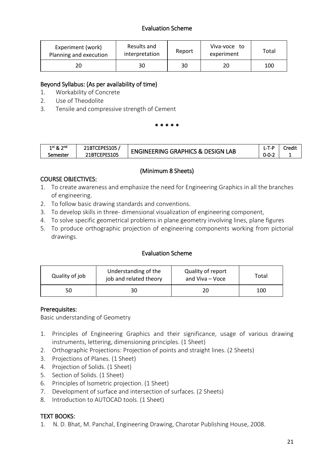# Evaluation Scheme

| Experiment (work)<br>Planning and execution | Results and<br>interpretation | Report | Viva-voce to<br>experiment | Total |
|---------------------------------------------|-------------------------------|--------|----------------------------|-------|
|                                             | 30                            | 30     | 20                         | 100   |

# Beyond Syllabus: (As per availability of time)

- 1. Workability of Concrete
- 2. Use of Theodolite
- 3. Tensile and compressive strength of Cement

\* \* \* \* \*

| ാnd<br>$1^{st}$ & $\sim$ | 21BTCEPES105 | <b>ENGINEERING GRAPHICS &amp; DESIGN L</b><br>LAB | 1 – L-M                | Credi |
|--------------------------|--------------|---------------------------------------------------|------------------------|-------|
| semester                 | 21BTCEPES105 |                                                   | $\sim$ $\sim$<br>U-U-4 |       |

# (Minimum 8 Sheets)

# COURSE OBJECTIVES:

- 1. To create awareness and emphasize the need for Engineering Graphics in all the branches of engineering.
- 2. To follow basic drawing standards and conventions.
- 3. To develop skills in three- dimensional visualization of engineering component,
- 4. To solve specific geometrical problems in plane geometry involving lines, plane figures
- 5. To produce orthographic projection of engineering components working from pictorial drawings.

# Evaluation Scheme

| Quality of job | Understanding of the<br>job and related theory | Quality of report<br>and Viva – Voce | Total |
|----------------|------------------------------------------------|--------------------------------------|-------|
| 50             |                                                |                                      | 100   |

# Prerequisites:

Basic understanding of Geometry

- 1. Principles of Engineering Graphics and their significance, usage of various drawing instruments, lettering, dimensioning principles. (1 Sheet)
- 2. Orthographic Projections: Projection of points and straight lines. (2 Sheets)
- 3. Projections of Planes. (1 Sheet)
- 4. Projection of Solids. (1 Sheet)
- 5. Section of Solids. (1 Sheet)
- 6. Principles of Isometric projection. (1 Sheet)
- 7. Development of surface and intersection of surfaces. (2 Sheets)
- 8. Introduction to AUTOCAD tools. (1 Sheet)

# TEXT BOOKS:

1. N. D. Bhat, M. Panchal, Engineering Drawing, Charotar Publishing House, 2008.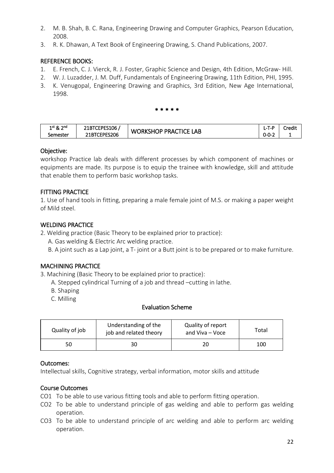- 2. M. B. Shah, B. C. Rana, Engineering Drawing and Computer Graphics, Pearson Education, 2008.
- 3. R. K. Dhawan, A Text Book of Engineering Drawing, S. Chand Publications, 2007.

# REFERENCE BOOKS:

- 1. E. French, C. J. Vierck, R. J. Foster, Graphic Science and Design, 4th Edition, McGraw- Hill.
- 2. W. J. Luzadder, J. M. Duff, Fundamentals of Engineering Drawing, 11th Edition, PHI, 1995.
- 3. K. Venugopal, Engineering Drawing and Graphics, 3rd Edition, New Age International, 1998.

\* \* \* \* \*

| ้<br>วิทนี        | , TCEPES106                        | TICE.                          | I -T-P | Credit |
|-------------------|------------------------------------|--------------------------------|--------|--------|
| $1$ st & $\angle$ | <b>ZIBILEP</b>                     | ٦P.                            |        |        |
| Semester          | ES206<br>$T$ CEDES.<br>21BT<br>◡└╹ | LAB<br>PRACT<br><b>WORKSHC</b> | ے-0-0  |        |

# Objective:

workshop Practice lab deals with different processes by which component of machines or equipments are made. Its purpose is to equip the trainee with knowledge, skill and attitude that enable them to perform basic workshop tasks.

# FITTING PRACTICE

1. Use of hand tools in fitting, preparing a male female joint of M.S. or making a paper weight of Mild steel.

# WELDING PRACTICE

- 2. Welding practice (Basic Theory to be explained prior to practice):
	- A. Gas welding & Electric Arc welding practice.
	- B. A joint such as a Lap joint, a T- joint or a Butt joint is to be prepared or to make furniture.

# MACHINING PRACTICE

3. Machining (Basic Theory to be explained prior to practice):

- A. Stepped cylindrical Turning of a job and thread –cutting in lathe.
- B. Shaping
- C. Milling

# Evaluation Scheme

| Quality of job | Understanding of the<br>job and related theory | Quality of report<br>and Viva - Voce | Total |
|----------------|------------------------------------------------|--------------------------------------|-------|
| 50             |                                                |                                      | 100   |

# Outcomes:

Intellectual skills, Cognitive strategy, verbal information, motor skills and attitude

# Course Outcomes

- CO1 To be able to use various fitting tools and able to perform fitting operation.
- CO2 To be able to understand principle of gas welding and able to perform gas welding operation.
- CO3 To be able to understand principle of arc welding and able to perform arc welding operation.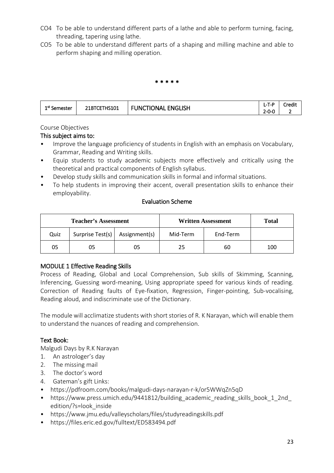- CO4 To be able to understand different parts of a lathe and able to perform turning, facing, threading, tapering using lathe.
- CO5 To be able to understand different parts of a shaping and milling machine and able to perform shaping and milling operation.

#### \* \* \* \* \*

| 1st           | $\sim$                | <b>ENGLISH</b><br>JNC<br>JΝΔ | $ -$<br>エーピ<br>. .<br>- | .<br>`redit |
|---------------|-----------------------|------------------------------|-------------------------|-------------|
| Semester<br>- | דחדרו<br>21 D I<br>-- |                              | -0-C<br><u>.</u>        |             |

Course Objectives

# This subject aims to:

- Improve the language proficiency of students in English with an emphasis on Vocabulary, Grammar, Reading and Writing skills.
- Equip students to study academic subjects more effectively and critically using the theoretical and practical components of English syllabus.
- Develop study skills and communication skills in formal and informal situations.
- To help students in improving their accent, overall presentation skills to enhance their employability.

### Evaluation Scheme

| <b>Teacher's Assessment</b> |                                  |    | <b>Written Assessment</b> | Total    |     |
|-----------------------------|----------------------------------|----|---------------------------|----------|-----|
| Quiz                        | Surprise Test(s)   Assignment(s) |    | Mid-Term                  | End-Term |     |
| 05                          | 05                               | 05 | 25                        | 60       | 100 |

# MODULE 1 Effective Reading Skills

Process of Reading, Global and Local Comprehension, Sub skills of Skimming, Scanning, Inferencing, Guessing word-meaning, Using appropriate speed for various kinds of reading. Correction of Reading faults of Eye-fixation, Regression, Finger-pointing, Sub-vocalising, Reading aloud, and indiscriminate use of the Dictionary.

The module will acclimatize students with short stories of R. K Narayan, which will enable them to understand the nuances of reading and comprehension.

# Text Book:

Malgudi Days by R.K Narayan

- 1. An astrologer's day
- 2. The missing mail
- 3. The doctor's word
- 4. Gateman's gift Links:
- https://pdfroom.com/books/malgudi-days-narayan-r-k/or5WWqZn5qD
- https://www.press.umich.edu/9441812/building academic reading skills book 1 2nd edition/?s=look\_inside
- https://www.jmu.edu/valleyscholars/files/studyreadingskills.pdf
- https://files.eric.ed.gov/fulltext/ED583494.pdf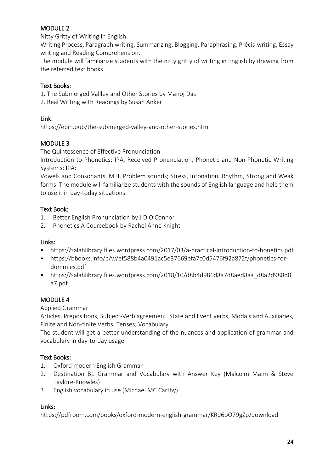# MODULE 2

Nitty Gritty of Writing in English

Writing Process, Paragraph writing, Summarizing, Blogging, Paraphrasing, Précis-writing, Essay writing and Reading Comprehension.

The module will familiarize students with the nitty gritty of writing in English by drawing from the referred text books.

# Text Books:

1. The Submerged Vallley and Other Stories by Manoj Das

2. Real Writing with Readings by Susan Anker

# Link:

https://ebin.pub/the-submerged-valley-and-other-stories.html

# MODULE 3

The Quintessence of Effective Pronunciation

Introduction to Phonetics: IPA, Received Pronunciation, Phonetic and Non-Phonetic Writing Systems; IPA:

Vowels and Consonants, MTI, Problem sounds; Stress, Intonation, Rhythm, Strong and Weak forms. The module will familiarize students with the sounds of English language and help them to use it in day-today situations.

# Text Book:

- 1. Better English Pronunciation by J D O'Connor
- 2. Phonetics A Coursebook by Rachel Anne Knight

# Links:

- https://salahlibrary.files.wordpress.com/2017/03/a-practical-introduction-to-honetics.pdf
- https://bbooks.info/b/w/ef588b4a0491ac5e37669efa7c0d5476f92a872f/phonetics-fordummies.pdf
- https://salahlibrary.files.wordpress.com/2018/10/d8b4d986d8a7d8aed8aa\_d8a2d988d8 a7.pdf

# MODULE 4

# Applied Grammar

Articles, Prepositions, Subject-Verb agreement, State and Event verbs, Modals and Auxiliaries, Finite and Non-finite Verbs; Tenses; Vocabulary

The student will get a better understanding of the nuances and application of grammar and vocabulary in day-to-day usage.

# Text Books:

- 1. Oxford modern English Grammar
- 2. Destination B1 Grammar and Vocabulary with Answer Key (Malcolm Mann & Steve Taylore-Knowles)
- 3. English vocabulary in use (Michael MC Carthy)

# Links:

https://pdfroom.com/books/oxford-modern-english-grammar/KRd6oO79gZp/download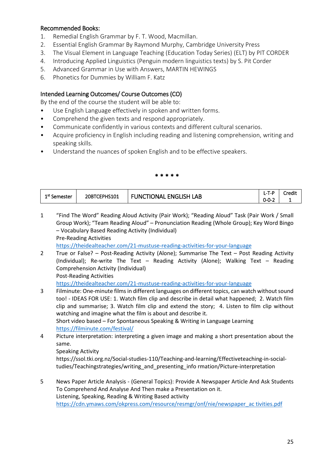# Recommended Books:

- 1. Remedial English Grammar by F. T. Wood, Macmillan.
- 2. Essential English Grammar By Raymond Murphy, Cambridge University Press
- 3. The Visual Element in Language Teaching (Education Today Series) (ELT) by PIT CORDER
- 4. Introducing Applied Linguistics (Penguin modern linguistics texts) by S. Pit Corder
- 5. Advanced Grammar in Use with Answers, MARTIN HEWINGS
- 6. Phonetics for Dummies by William F. Katz

# Intended Learning Outcomes/ Course Outcomes (CO)

By the end of the course the student will be able to:

- Use English Language effectively in spoken and written forms.
- Comprehend the given texts and respond appropriately.
- Communicate confidently in various contexts and different cultural scenarios.
- Acquire proficiency in English including reading and listening comprehension, writing and speaking skills.
- Understand the nuances of spoken English and to be effective speakers.

#### \* \* \* \* \*

| 1st c    | 20BTCEPHS101 | <b>ENGLISH</b><br>LAB<br>UNC<br><b>TIONAL</b> | T-P<br>$\overline{\phantom{a}}$ | Credit |
|----------|--------------|-----------------------------------------------|---------------------------------|--------|
| Semester |              |                                               | $0 - 0 - 2$                     |        |

1 "Find The Word" Reading Aloud Activity (Pair Work); "Reading Aloud" Task (Pair Work / Small Group Work); "Team Reading Aloud" – Pronunciation Reading (Whole Group); Key Word Bingo – Vocabulary Based Reading Activity (Individual) Pre-Reading Activities

<https://theidealteacher.com/21-mustuse-reading-activities-for-your-language>

2 True or False? – Post-Reading Activity (Alone); Summarise The Text – Post Reading Activity (Individual); Re-write The Text – Reading Activity (Alone); Walking Text – Reading Comprehension Activity (Individual) Post-Reading Activities

<https://theidealteacher.com/21-mustuse-reading-activities-for-your-language>

3 Filminute: One-minute films in different languages on different topics, can watch without sound too! - IDEAS FOR USE: 1. Watch film clip and describe in detail what happened; 2. Watch film clip and summarise; 3. Watch film clip and extend the story; 4. Listen to film clip without watching and imagine what the film is about and describe it.

Short video based – For Spontaneous Speaking & Writing in Language Learning <https://filminute.com/festival/>

4 Picture interpretation: interpreting a given image and making a short presentation about the same.

Speaking Activity

https://ssol.tki.org.nz/Social-studies-110/Teaching-and-learning/Effectiveteaching-in-socialtudies/Teachingstrategies/writing\_and\_presenting\_info rmation/Picture-interpretation

5 News Paper Article Analysis - (General Topics): Provide A Newspaper Article And Ask Students To Comprehend And Analyse And Then make a Presentation on it. Listening, Speaking, Reading & Writing Based activity [https://cdn.ymaws.com/okpress.com/resource/resmgr/onf/nie/newspaper\\_ac tivities.pdf](https://cdn.ymaws.com/okpress.com/resource/resmgr/onf/nie/newspaper_ac%20tivities.pdf)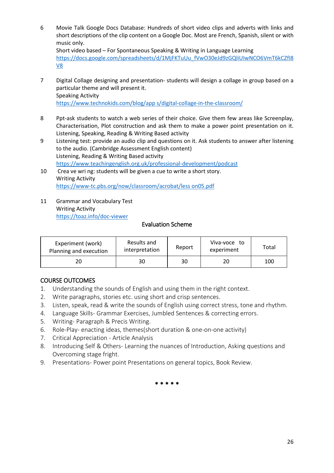- 6 Movie Talk Google Docs Database: Hundreds of short video clips and adverts with links and short descriptions of the clip content on a Google Doc. Most are French, Spanish, silent or with music only. Short video based – For Spontaneous Speaking & Writing in Language Learning [https://docs.google.com/spreadsheets/d/1MjFKTuUu\\_fVwO30eJd9zGQliUIwNCO6VmT6kCZfI8](https://docs.google.com/spreadsheets/d/1MjFKTuUu_fVwO30eJd9zGQliUIwNCO6VmT6kCZfI8V8) [V8](https://docs.google.com/spreadsheets/d/1MjFKTuUu_fVwO30eJd9zGQliUIwNCO6VmT6kCZfI8V8)
- 7 Digital Collage designing and presentation- students will design a collage in group based on a particular theme and will present it. Speaking Activity [https://www.technokids.com/blog/app s/digital-collage-in-the-classroom/](https://www.technokids.com/blog/app%20s/digital-collage-in-the-classroom/)
- 8 Ppt-ask students to watch a web series of their choice. Give them few areas like Screenplay, Characterisation, Plot construction and ask them to make a power point presentation on it. Listening, Speaking, Reading & Writing Based activity
- 9 Listening test: provide an audio clip and questions on it. Ask students to answer after listening to the audio. (Cambridge Assessment English content) Listening, Reading & Writing Based activity <https://www.teachingenglish.org.uk/professional-development/podcast>
- 10 Crea ve wri ng: students will be given a cue to write a short story. Writing Activity [https://www-tc.pbs.org/now/classroom/acrobat/less on05.pdf](https://www-tc.pbs.org/now/classroom/acrobat/less%20on05.pdf)
- 11 Grammar and Vocabulary Test Writing Activity <https://toaz.info/doc-viewer>

### Evaluation Scheme

| Experiment (work)<br>Planning and execution | Results and<br>interpretation | Report | Viva-voce to<br>experiment | Total |
|---------------------------------------------|-------------------------------|--------|----------------------------|-------|
|                                             | 30                            | 30     | 20                         | 100   |

# COURSE OUTCOMES

- 1. Understanding the sounds of English and using them in the right context.
- 2. Write paragraphs, stories etc. using short and crisp sentences.
- 3. Listen, speak, read & write the sounds of English using correct stress, tone and rhythm.
- 4. Language Skills- Grammar Exercises, Jumbled Sentences & correcting errors.
- 5. Writing- Paragraph & Precis Writing.
- 6. Role-Play- enacting ideas, themes(short duration & one-on-one activity)
- 7. Critical Appreciation Article Analysis
- 8. Introducing Self & Others- Learning the nuances of Introduction, Asking questions and Overcoming stage fright.
- 9. Presentations- Power point Presentations on general topics, Book Review.

\* \* \* \* \*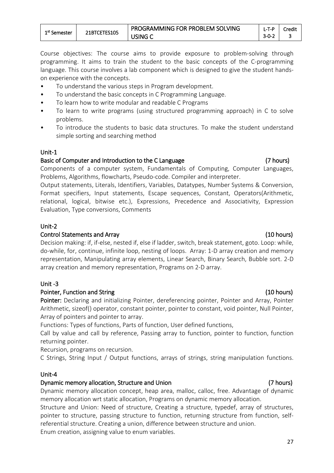Course objectives: The course aims to provide exposure to problem-solving through programming. It aims to train the student to the basic concepts of the C-programming language. This course involves a lab component which is designed to give the student handson experience with the concepts.

- To understand the various steps in Program development.
- To understand the basic concepts in C Programming Language.
- To learn how to write modular and readable C Programs
- To learn to write programs (using structured programming approach) in C to solve problems.
- To introduce the students to basic data structures. To make the student understand simple sorting and searching method

#### Unit-1

### Basic of Computer and Introduction to the C Language (7 hours)

Components of a computer system, Fundamentals of Computing, Computer Languages, Problems, Algorithms, flowcharts, Pseudo-code. Compiler and interpreter.

Output statements, Literals, Identifiers, Variables, Datatypes, Number Systems & Conversion, Format specifiers, Input statements, Escape sequences, Constant, Operators(Arithmetic, relational, logical, bitwise etc.), Expressions, Precedence and Associativity, Expression Evaluation, Type conversions, Comments

### Unit-2

#### Control Statements and Array (10 hours)

Decision making: if, if-else, nested if, else if ladder, switch, break statement, goto. Loop: while, do-while, for, continue, infinite loop, nesting of loops. Array: 1-D array creation and memory representation, Manipulating array elements, Linear Search, Binary Search, Bubble sort. 2-D array creation and memory representation, Programs on 2-D array.

#### Unit -3

#### Pointer, Function and String (10 hours)

Pointer: Declaring and initializing Pointer, dereferencing pointer, Pointer and Array, Pointer Arithmetic, sizeof() operator, constant pointer, pointer to constant, void pointer, Null Pointer, Array of pointers and pointer to array.

Functions: Types of functions, Parts of function, User defined functions,

Call by value and call by reference, Passing array to function, pointer to function, function returning pointer.

Recursion, programs on recursion.

C Strings, String Input / Output functions, arrays of strings, string manipulation functions.

#### Unit-4

#### Dynamic memory allocation, Structure and Union (7 hours)

Dynamic memory allocation concept, heap area, malloc, calloc, free. Advantage of dynamic memory allocation wrt static allocation, Programs on dynamic memory allocation.

Structure and Union: Need of structure, Creating a structure, typedef, array of structures, pointer to structure, passing structure to function, returning structure from function, selfreferential structure. Creating a union, difference between structure and union. Enum creation, assigning value to enum variables.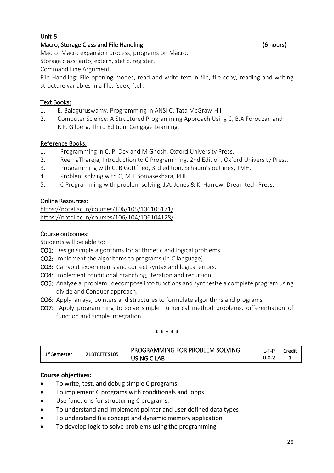# Unit-5

# Macro, Storage Class and File Handling (6 hours)

Macro: Macro expansion process, programs on Macro.

Storage class: auto, extern, static, register.

Command Line Argument.

File Handling: File opening modes, read and write text in file, file copy, reading and writing structure variables in a file, fseek, ftell.

# Text Books:

- 1. E. Balaguruswamy, Programming in ANSI C, Tata McGraw-Hill
- 2. Computer Science: A Structured Programming Approach Using C, B.A.Forouzan and R.F. Gilberg, Third Edition, Cengage Learning.

# Reference Books:

- 1. Programming in C. P. Dey and M Ghosh, Oxford University Press.
- 2. ReemaThareja, Introduction to C Programming, 2nd Edition, Oxford University Press.
- 3. Programming with C, B.Gottfried, 3rd edition, Schaum's outlines, TMH.
- 4. Problem solving with C, M.T.Somasekhara, PHI
- 5. C Programming with problem solving, J.A. Jones & K. Harrow, Dreamtech Press.

# Online Resources:

<https://nptel.ac.in/courses/106/105/106105171/> <https://nptel.ac.in/courses/106/104/106104128/>

# Course outcomes:

Students will be able to:

- CO1: Design simple algorithms for arithmetic and logical problems
- CO2: Implement the algorithms to programs (in C language).
- CO3: Carryout experiments and correct syntax and logical errors.
- CO4: Implement conditional branching, iteration and recursion.
- CO5: Analyze a problem , decompose into functions and synthesize a complete program using divide and Conquer approach.
- CO6: Apply arrays, pointers and structures to formulate algorithms and programs.
- CO7: Apply programming to solve simple numerical method problems, differentiation of function and simple integration.

#### \* \* \* \* \*

| $1^{\rm st}$ Semester | 21BTCETES105 | PROGRAMMING FOR PROBLEM SOLVING |             | Credit |
|-----------------------|--------------|---------------------------------|-------------|--------|
|                       |              | `LAB<br>USING C L               | $0 - 0 - 2$ |        |

# **Course objectives:**

- To write, test, and debug simple C programs.
- To implement C programs with conditionals and loops.
- Use functions for structuring C programs.
- To understand and implement pointer and user defined data types
- To understand file concept and dynamic memory application
- To develop logic to solve problems using the programming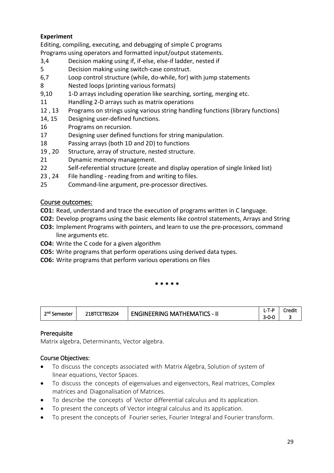# **Experiment**

Editing, compiling, executing, and debugging of simple C programs Programs using operators and formatted input/output statements.

- 3,4 Decision making using if, if-else, else-if ladder, nested if
- 5 Decision making using switch-case construct.
- 6,7 Loop control structure (while, do-while, for) with jump statements
- 8 Nested loops (printing various formats)
- 9,10 1-D arrays including operation like searching, sorting, merging etc.
- 11 Handling 2-D arrays such as matrix operations
- 12 , 13 Programs on strings using various string handling functions (library functions)
- 14, 15 Designing user-defined functions.
- 16 Programs on recursion.
- 17 Designing user defined functions for string manipulation.
- 18 Passing arrays (both 1D and 2D) to functions
- 19 , 20 Structure, array of structure, nested structure.
- 21 Dynamic memory management.
- 22 Self-referential structure (create and display operation of single linked list)
- 23 , 24 File handling reading from and writing to files.
- 25 Command-line argument, pre-processor directives.

# Course outcomes:

- **CO1:** Read, understand and trace the execution of programs written in C language.
- **CO2:** Develop programs using the basic elements like control statements, Arrays and String
- **CO3:** Implement Programs with pointers, and learn to use the pre-processors, command line arguments etc.
- **CO4:** Write the C code for a given algorithm
- **CO5:** Write programs that perform operations using derived data types.
- **CO6:** Write programs that perform various operations on files

#### \* \* \* \* \*

| วnd<br>Semester | BS204<br><b>UBILL</b> | $\sim$ HEMATICS<br><u>ты.</u><br>. MA<br>— −NGINEE*<br>l'NC | $\sim$<br>.<br>$\overline{\phantom{a}}$<br>-  | <br>Credit |
|-----------------|-----------------------|-------------------------------------------------------------|-----------------------------------------------|------------|
|                 |                       |                                                             | $\overline{\phantom{a}}$<br>---<br>ั−∪−∪<br>◡ |            |

# Prerequisite

Matrix algebra, Determinants, Vector algebra.

# Course Objectives:

- To discuss the concepts associated with Matrix Algebra, Solution of system of linear equations, Vector Spaces.
- To discuss the concepts of eigenvalues and eigenvectors, Real matrices, Complex matrices and Diagonalisation of Matrices.
- To describe the concepts of Vector differential calculus and its application.
- To present the concepts of Vector integral calculus and its application.
- To present the concepts of Fourier series, Fourier Integral and Fourier transform.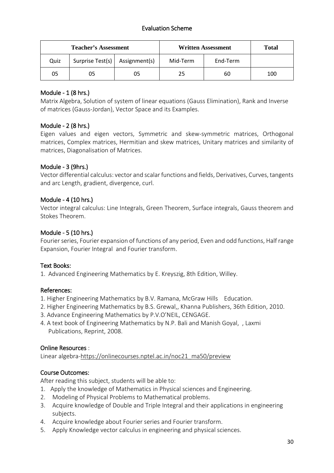# Evaluation Scheme

| <b>Teacher's Assessment</b> |                                  |    | <b>Written Assessment</b> | <b>Total</b> |     |
|-----------------------------|----------------------------------|----|---------------------------|--------------|-----|
| Quiz                        | Surprise Test(s)   Assignment(s) |    | Mid-Term                  | End-Term     |     |
| 05                          | 05                               | 05 | 25                        | 60           | 100 |

# Module - 1 (8 hrs.)

Matrix Algebra, Solution of system of linear equations (Gauss Elimination), Rank and Inverse of matrices (Gauss-Jordan), Vector Space and its Examples.

# Module - 2 (8 hrs.)

Eigen values and eigen vectors, Symmetric and skew-symmetric matrices, Orthogonal matrices, Complex matrices, Hermitian and skew matrices, Unitary matrices and similarity of matrices, Diagonalisation of Matrices.

# Module - 3 (9hrs.)

Vector differential calculus: vector and scalar functions and fields, Derivatives, Curves, tangents and arc Length, gradient, divergence, curl.

# Module - 4 (10 hrs.)

Vector integral calculus: Line Integrals, Green Theorem, Surface integrals, Gauss theorem and Stokes Theorem.

# Module - 5 (10 hrs.)

Fourier series, Fourier expansion of functions of any period, Even and odd functions, Half range Expansion, Fourier Integral and Fourier transform.

# Text Books:

1. Advanced Engineering Mathematics by E. Kreyszig, 8th Edition, Willey.

# References:

- 1. Higher Engineering Mathematics by B.V. Ramana, McGraw Hills Education.
- 2. Higher Engineering Mathematics by B.S. Grewal,, Khanna Publishers, 36th Edition, 2010.
- 3. Advance Engineering Mathematics by P.V.O'NEIL, CENGAGE.
- 4. A text book of Engineering Mathematics by N.P. Bali and Manish Goyal, , Laxmi Publications, Reprint, 2008.

# Online Resources :

Linear algebra[-https://onlinecourses.nptel.ac.in/noc21\\_ma50/preview](https://www.google.com/url?q=https://onlinecourses.nptel.ac.in/noc21_ma50/preview&sa=D&source=editors&ust=1632906111255000&usg=AOvVaw3OxhHGjp3WO9sORxiWlMvU)

# Course Outcomes:

After reading this subject, students will be able to:

- 1. Apply the knowledge of Mathematics in Physical sciences and Engineering.
- 2. Modeling of Physical Problems to Mathematical problems.
- 3. Acquire knowledge of Double and Triple Integral and their applications in engineering subjects.
- 4. Acquire knowledge about Fourier series and Fourier transform.
- 5. Apply Knowledge vector calculus in engineering and physical sciences.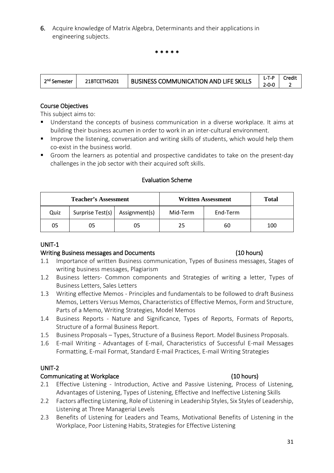6. Acquire knowledge of Matrix Algebra, Determinants and their applications in engineering subjects.

\* \* \* \* \*

| ີ <sup>າ¤</sup> Semester | 21BTCETHS201 | <b>BUSINESS COMMUNICATION AND LIFE SKILLS</b> | i - i - E | Iredi |
|--------------------------|--------------|-----------------------------------------------|-----------|-------|
|                          |              |                                               | -በ-ቦ      |       |

### Course Objectives

This subject aims to:

- Understand the concepts of business communication in a diverse workplace. It aims at building their business acumen in order to work in an inter-cultural environment.
- **IMPROVE THE INTERGOVITY IS 2018** Improve the listening, conversation and writing skills of students, which would help them co-exist in the business world.
- Groom the learners as potential and prospective candidates to take on the present-day challenges in the job sector with their acquired soft skills.

#### Evaluation Scheme

| <b>Teacher's Assessment</b> |                                  |    | <b>Written Assessment</b> | <b>Total</b> |     |
|-----------------------------|----------------------------------|----|---------------------------|--------------|-----|
| Quiz                        | Surprise Test(s)   Assignment(s) |    | Mid-Term                  | End-Term     |     |
| 05                          | 05                               | 05 | 25                        | 60           | 100 |

#### UNIT-1

#### Writing Business messages and Documents (10 hours)

- 1.1 Importance of written Business communication, Types of Business messages, Stages of writing business messages, Plagiarism
- 1.2 Business letters- Common components and Strategies of writing a letter, Types of Business Letters, Sales Letters
- 1.3 Writing effective Memos Principles and fundamentals to be followed to draft Business Memos, Letters Versus Memos, Characteristics of Effective Memos, Form and Structure, Parts of a Memo, Writing Strategies, Model Memos
- 1.4 Business Reports Nature and Significance, Types of Reports, Formats of Reports, Structure of a formal Business Report.
- 1.5 Business Proposals Types, Structure of a Business Report. Model Business Proposals.
- 1.6 E-mail Writing Advantages of E-mail, Characteristics of Successful E-mail Messages Formatting, E-mail Format, Standard E-mail Practices, E-mail Writing Strategies

#### UNIT-2

#### Communicating at Workplace (10 hours)

- 2.1 Effective Listening Introduction, Active and Passive Listening, Process of Listening, Advantages of Listening, Types of Listening, Effective and Ineffective Listening Skills
- 2.2 Factors affecting Listening, Role of Listening in Leadership Styles, Six Styles of Leadership, Listening at Three Managerial Levels
- 2.3 Benefits of Listening for Leaders and Teams, Motivational Benefits of Listening in the Workplace, Poor Listening Habits, Strategies for Effective Listening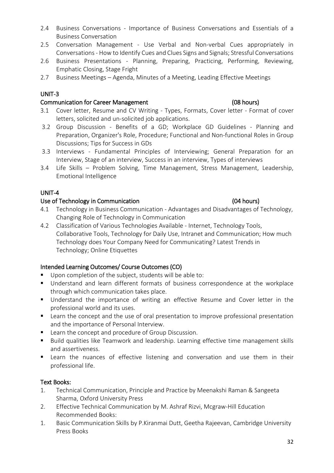- 2.4 Business Conversations Importance of Business Conversations and Essentials of a Business Conversation
- 2.5 Conversation Management Use Verbal and Non-verbal Cues appropriately in Conversations - How to Identify Cues and Clues Signs and Signals; Stressful Conversations
- 2.6 Business Presentations Planning, Preparing, Practicing, Performing, Reviewing, Emphatic Closing, Stage Fright
- 2.7 Business Meetings Agenda, Minutes of a Meeting, Leading Effective Meetings

# UNIT-3

# Communication for Career Management (08 hours)

- 3.1 Cover letter, Resume and CV Writing Types, Formats, Cover letter Format of cover letters, solicited and un-solicited job applications.
- 3.2 Group Discussion Benefits of a GD; Workplace GD Guidelines Planning and Preparation, Organizer's Role, Procedure; Functional and Non-functional Roles in Group Discussions; Tips for Success in GDs
- 3.3 Interviews Fundamental Principles of Interviewing; General Preparation for an Interview, Stage of an interview, Success in an interview, Types of interviews
- 3.4 Life Skills Problem Solving, Time Management, Stress Management, Leadership, Emotional Intelligence

# UNIT-4

# Use of Technology in Communication (04 hours)

- 4.1 Technology in Business Communication Advantages and Disadvantages of Technology, Changing Role of Technology in Communication
- 4.2 Classification of Various Technologies Available Internet, Technology Tools, Collaborative Tools, Technology for Daily Use, Intranet and Communication; How much Technology does Your Company Need for Communicating? Latest Trends in Technology; Online Etiquettes

# Intended Learning Outcomes/ Course Outcomes (CO)

- Upon completion of the subject, students will be able to:
- Understand and learn different formats of business correspondence at the workplace through which communication takes place.
- **Understand the importance of writing an effective Resume and Cover letter in the** professional world and its uses.
- **E** Learn the concept and the use of oral presentation to improve professional presentation and the importance of Personal Interview.
- Learn the concept and procedure of Group Discussion.
- Build qualities like Teamwork and leadership. Learning effective time management skills and assertiveness.
- Learn the nuances of effective listening and conversation and use them in their professional life.

# Text Books:

- 1. Technical Communication, Principle and Practice by Meenakshi Raman & Sangeeta Sharma, Oxford University Press
- 2. Effective Technical Communication by M. Ashraf Rizvi, Mcgraw-Hill Education Recommended Books:
- 1. Basic Communication Skills by P.Kiranmai Dutt, Geetha Rajeevan, Cambridge University Press Books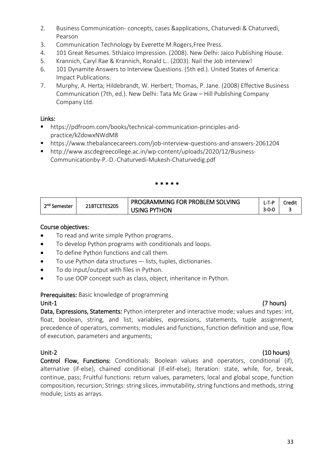- 2. Business Communication- concepts, cases &applications, Chaturvedi & Chaturvedi, Pearson
- 3. Communication Technology by Everette M.Rogers,Free Press.
- 4. 101 Great Resumes. 5thJaico Impression. (2008). New Delhi: Jaico Publishing House.
- 5. Krannich, Caryl Rae & Krannich, Ronald L.. (2003). Nail the Job interview!
- 6. 101 Dynamite Answers to Interview Questions. (5th ed.). United States of America: Impact Publications.
- 7. Murphy, A. Herta; Hildebrandt, W. Herbert; Thomas, P. Jane. (2008) Effective Business Communication (7th, ed.). New Delhi: Tata Mc Graw – Hill Publishing Company Company Ltd.

### Links:

- https://pdfroom.com/books/technical-communication-principles-andpractice/kZdowxNWdM8
- https://www.thebalancecareers.com/job-interview-questions-and-answers-2061204
- http://www.ascdegreecollege.ac.in/wp-content/uploads/2020/12/Business-Communicationby-P.-D.-Chaturvedi-Mukesh-Chaturvedig.pdf

#### \* \* \* \* \*

| 2 <sup>nd</sup> Semester | 21BTCETES205 | PROGRAMMING FOR PROBLEM SOLVING |             | Credit |
|--------------------------|--------------|---------------------------------|-------------|--------|
|                          |              | <b>USING PYTHON</b>             | $3 - 0 - 0$ |        |

### Course objectives:

- To read and write simple Python programs.
- To develop Python programs with conditionals and loops.
- To define Python functions and call them.
- To use Python data structures –- lists, tuples, dictionaries.
- To do input/output with files in Python.
- To use OOP concept such as class, object, inheritance in Python.

# Prerequisites: Basic knowledge of programming Unit-1 (7 hours)

Data, Expressions, Statements: Python interpreter and interactive mode; values and types: int, float, boolean, string, and list; variables, expressions, statements, tuple assignment, precedence of operators, comments; modules and functions, function definition and use, flow of execution, parameters and arguments;

Unit-2 (10 hours) Control Flow, Functions: Conditionals: Boolean values and operators, conditional (if), alternative (if-else), chained conditional (if-elif-else); Iteration: state, while, for, break, continue, pass; Fruitful functions: return values, parameters, local and global scope, function composition, recursion; Strings: string slices, immutability, string functions and methods, string module; Lists as arrays.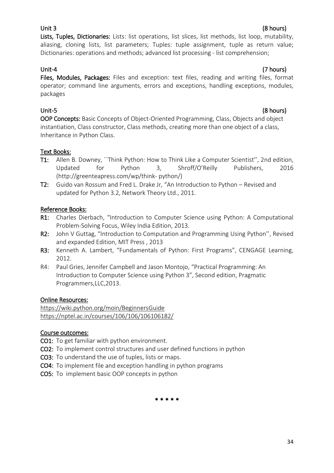# Unit 3 (8 hours)

Lists, Tuples, Dictionaries: Lists: list operations, list slices, list methods, list loop, mutability, aliasing, cloning lists, list parameters; Tuples: tuple assignment, tuple as return value; Dictionaries: operations and methods; advanced list processing - list comprehension;

# Unit-4 (7 hours)

Files, Modules, Packages: Files and exception: text files, reading and writing files, format operator; command line arguments, errors and exceptions, handling exceptions, modules, packages

# Unit-5 (8 hours)

OOP Concepts: Basic Concepts of Object-Oriented Programming, Class, Objects and object instantiation, Class constructor, Class methods, creating more than one object of a class, Inheritance in Python Class.

# Text Books:

- T1: Allen B. Downey, ``Think Python: How to Think Like a Computer Scientist'', 2nd edition, Updated for Python 3, Shroff/O'Reilly Publishers, 2016 [\(http://greenteapress.com/wp/think-](http://greenteapress.com/wp/think-%20python/) python/)
- T2: Guido van Rossum and Fred L. Drake Jr, "An Introduction to Python Revised and updated for Python 3.2, Network Theory Ltd., 2011.

# Reference Books:

- R1: Charles Dierbach, "Introduction to Computer Science using Python: A Computational Problem-Solving Focus, Wiley India Edition, 2013.
- R2: John V Guttag, "Introduction to Computation and Programming Using Python", Revised and expanded Edition, MIT Press , 2013
- R3: Kenneth A. Lambert, "Fundamentals of Python: First Programs", CENGAGE Learning, 2012.
- R4: Paul Gries, Jennifer Campbell and Jason Montojo, "Practical Programming: An Introduction to Computer Science using Python 3", Second edition, Pragmatic Programmers,LLC,2013.

# Online Resources:

<https://wiki.python.org/moin/BeginnersGuide> <https://nptel.ac.in/courses/106/106/106106182/>

# Course outcomes:

- CO1: To get familiar with python environment.
- CO2: To implement control structures and user defined functions in python
- CO3: To understand the use of tuples, lists or maps.
- CO4: To implement file and exception handling in python programs
- CO5: To implement basic OOP concepts in python

\* \* \* \* \*